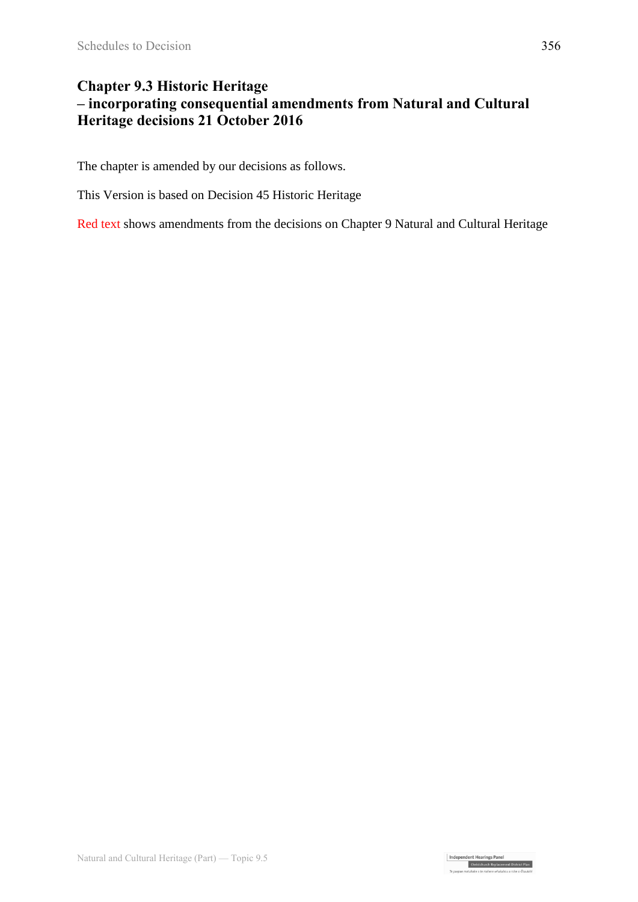## **Chapter 9.3 Historic Heritage – incorporating consequential amendments from Natural and Cultural Heritage decisions 21 October 2016**

The chapter is amended by our decisions as follows.

This Version is based on Decision 45 Historic Heritage

Red text shows amendments from the decisions on Chapter 9 Natural and Cultural Heritage

Independent Hearings Panel<br>Christchurch Replacement District Plan<br>Te oaeaee motubake o te mahere whatahou a robe o Otautah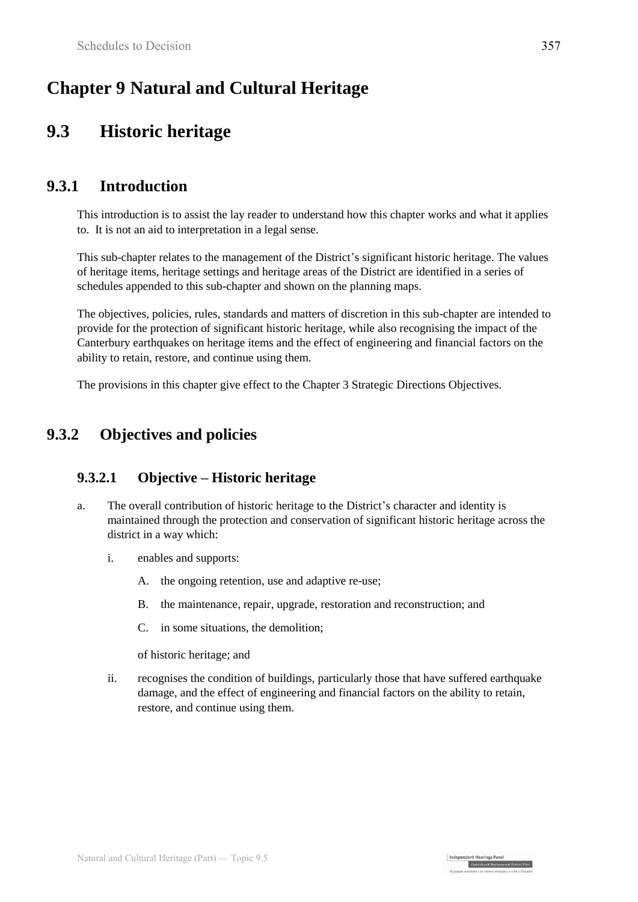# **Chapter 9 Natural and Cultural Heritage**

# **9.3 Historic heritage**

## **9.3.1 Introduction**

This introduction is to assist the lay reader to understand how this chapter works and what it applies to. It is not an aid to interpretation in a legal sense.

This sub-chapter relates to the management of the District's significant historic heritage. The values of heritage items, heritage settings and heritage areas of the District are identified in a series of schedules appended to this sub-chapter and shown on the planning maps.

The objectives, policies, rules, standards and matters of discretion in this sub-chapter are intended to provide for the protection of significant historic heritage, while also recognising the impact of the Canterbury earthquakes on heritage items and the effect of engineering and financial factors on the ability to retain, restore, and continue using them.

The provisions in this chapter give effect to the Chapter 3 Strategic Directions Objectives.

## **9.3.2 Objectives and policies**

### **9.3.2.1 Objective – Historic heritage**

- a. The overall contribution of historic heritage to the District's character and identity is maintained through the protection and conservation of significant historic heritage across the district in a way which:
	- i. enables and supports:
		- A. the ongoing retention, use and adaptive re-use;
		- B. the maintenance, repair, upgrade, restoration and reconstruction; and
		- C. in some situations, the demolition;

of historic heritage; and

ii. recognises the condition of buildings, particularly those that have suffered earthquake damage, and the effect of engineering and financial factors on the ability to retain, restore, and continue using them.

Independent Hearings Panel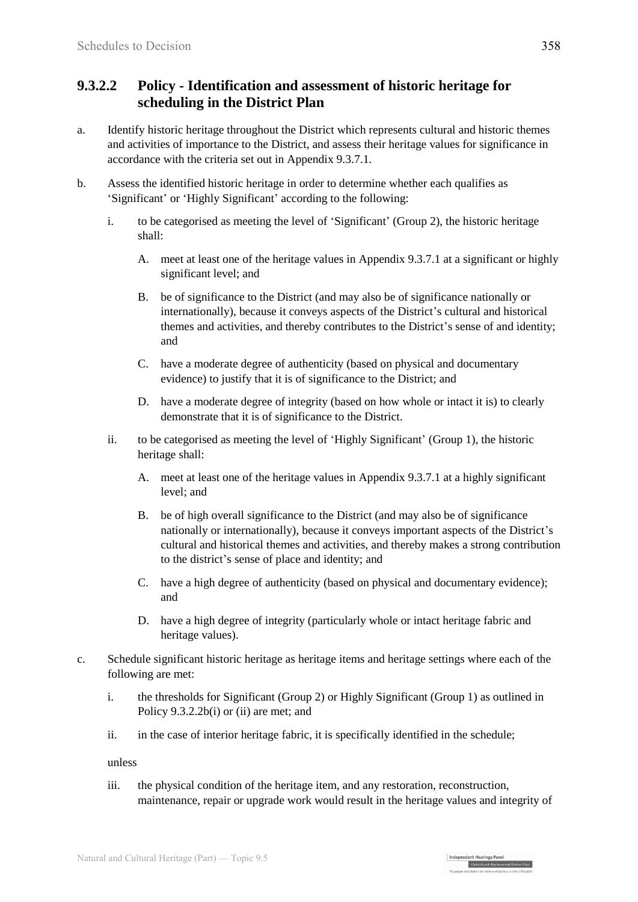### **9.3.2.2 Policy - Identification and assessment of historic heritage for scheduling in the District Plan**

- a. Identify historic heritage throughout the District which represents cultural and historic themes and activities of importance to the District, and assess their heritage values for significance in accordance with the criteria set out in Appendix 9.3.7.1.
- b. Assess the identified historic heritage in order to determine whether each qualifies as 'Significant' or 'Highly Significant' according to the following:
	- i. to be categorised as meeting the level of 'Significant' (Group 2), the historic heritage shall:
		- A. meet at least one of the heritage values in Appendix 9.3.7.1 at a significant or highly significant level; and
		- B. be of significance to the District (and may also be of significance nationally or internationally), because it conveys aspects of the District's cultural and historical themes and activities, and thereby contributes to the District's sense of and identity; and
		- C. have a moderate degree of authenticity (based on physical and documentary evidence) to justify that it is of significance to the District; and
		- D. have a moderate degree of integrity (based on how whole or intact it is) to clearly demonstrate that it is of significance to the District.
	- ii. to be categorised as meeting the level of 'Highly Significant' (Group 1), the historic heritage shall:
		- A. meet at least one of the heritage values in Appendix 9.3.7.1 at a highly significant level; and
		- B. be of high overall significance to the District (and may also be of significance nationally or internationally), because it conveys important aspects of the District's cultural and historical themes and activities, and thereby makes a strong contribution to the district's sense of place and identity; and
		- C. have a high degree of authenticity (based on physical and documentary evidence); and
		- D. have a high degree of integrity (particularly whole or intact heritage fabric and heritage values).
- c. Schedule significant historic heritage as heritage items and heritage settings where each of the following are met:
	- i. the thresholds for Significant (Group 2) or Highly Significant (Group 1) as outlined in Policy 9.3.2.2b(i) or (ii) are met; and
	- ii. in the case of interior heritage fabric, it is specifically identified in the schedule;

unless

iii. the physical condition of the heritage item, and any restoration, reconstruction, maintenance, repair or upgrade work would result in the heritage values and integrity of

| Independent Hearings Pane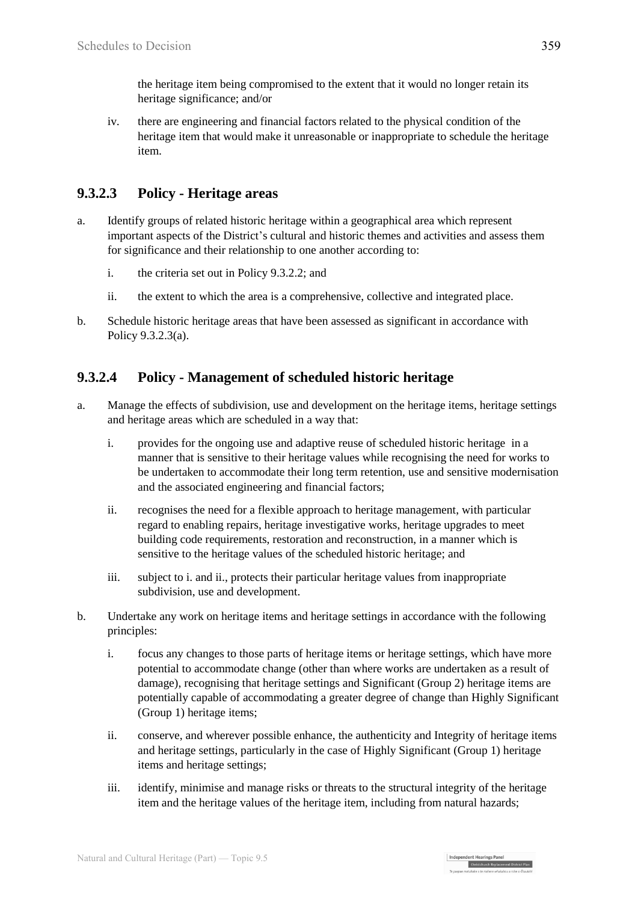the heritage item being compromised to the extent that it would no longer retain its heritage significance; and/or

iv. there are engineering and financial factors related to the physical condition of the heritage item that would make it unreasonable or inappropriate to schedule the heritage item.

## **9.3.2.3 Policy - Heritage areas**

- a. Identify groups of related historic heritage within a geographical area which represent important aspects of the District's cultural and historic themes and activities and assess them for significance and their relationship to one another according to:
	- i. the criteria set out in Policy 9.3.2.2; and
	- ii. the extent to which the area is a comprehensive, collective and integrated place.
- b. Schedule historic heritage areas that have been assessed as significant in accordance with Policy 9.3.2.3(a).

## **9.3.2.4 Policy - Management of scheduled historic heritage**

- a. Manage the effects of subdivision, use and development on the heritage items, heritage settings and heritage areas which are scheduled in a way that:
	- i. provides for the ongoing use and adaptive reuse of scheduled historic heritage in a manner that is sensitive to their heritage values while recognising the need for works to be undertaken to accommodate their long term retention, use and sensitive modernisation and the associated engineering and financial factors;
	- ii. recognises the need for a flexible approach to heritage management, with particular regard to enabling repairs, heritage investigative works, heritage upgrades to meet building code requirements, restoration and reconstruction, in a manner which is sensitive to the heritage values of the scheduled historic heritage; and
	- iii. subject to i. and ii., protects their particular heritage values from inappropriate subdivision, use and development.
- b. Undertake any work on heritage items and heritage settings in accordance with the following principles:
	- i. focus any changes to those parts of heritage items or heritage settings, which have more potential to accommodate change (other than where works are undertaken as a result of damage), recognising that heritage settings and Significant (Group 2) heritage items are potentially capable of accommodating a greater degree of change than Highly Significant (Group 1) heritage items;
	- ii. conserve, and wherever possible enhance, the authenticity and Integrity of heritage items and heritage settings, particularly in the case of Highly Significant (Group 1) heritage items and heritage settings;
	- iii. identify, minimise and manage risks or threats to the structural integrity of the heritage item and the heritage values of the heritage item, including from natural hazards;

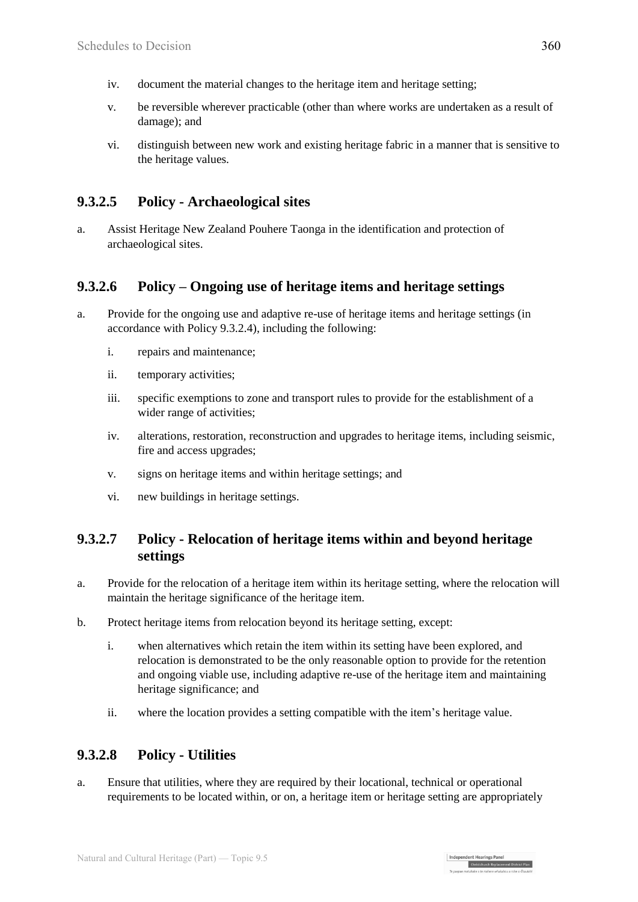- iv. document the material changes to the heritage item and heritage setting;
- v. be reversible wherever practicable (other than where works are undertaken as a result of damage); and
- vi. distinguish between new work and existing heritage fabric in a manner that is sensitive to the heritage values.

## **9.3.2.5 Policy - Archaeological sites**

a. Assist Heritage New Zealand Pouhere Taonga in the identification and protection of archaeological sites.

## **9.3.2.6 Policy – Ongoing use of heritage items and heritage settings**

- a. Provide for the ongoing use and adaptive re-use of heritage items and heritage settings (in accordance with Policy 9.3.2.4), including the following:
	- i. repairs and maintenance;
	- ii. temporary activities;
	- iii. specific exemptions to zone and transport rules to provide for the establishment of a wider range of activities;
	- iv. alterations, restoration, reconstruction and upgrades to heritage items, including seismic, fire and access upgrades;
	- v. signs on heritage items and within heritage settings; and
	- vi. new buildings in heritage settings.

#### **9.3.2.7 Policy - Relocation of heritage items within and beyond heritage settings**

- a. Provide for the relocation of a heritage item within its heritage setting, where the relocation will maintain the heritage significance of the heritage item.
- b. Protect heritage items from relocation beyond its heritage setting, except:
	- i. when alternatives which retain the item within its setting have been explored, and relocation is demonstrated to be the only reasonable option to provide for the retention and ongoing viable use, including adaptive re-use of the heritage item and maintaining heritage significance; and
	- ii. where the location provides a setting compatible with the item's heritage value.

### **9.3.2.8 Policy - Utilities**

a. Ensure that utilities, where they are required by their locational, technical or operational requirements to be located within, or on, a heritage item or heritage setting are appropriately

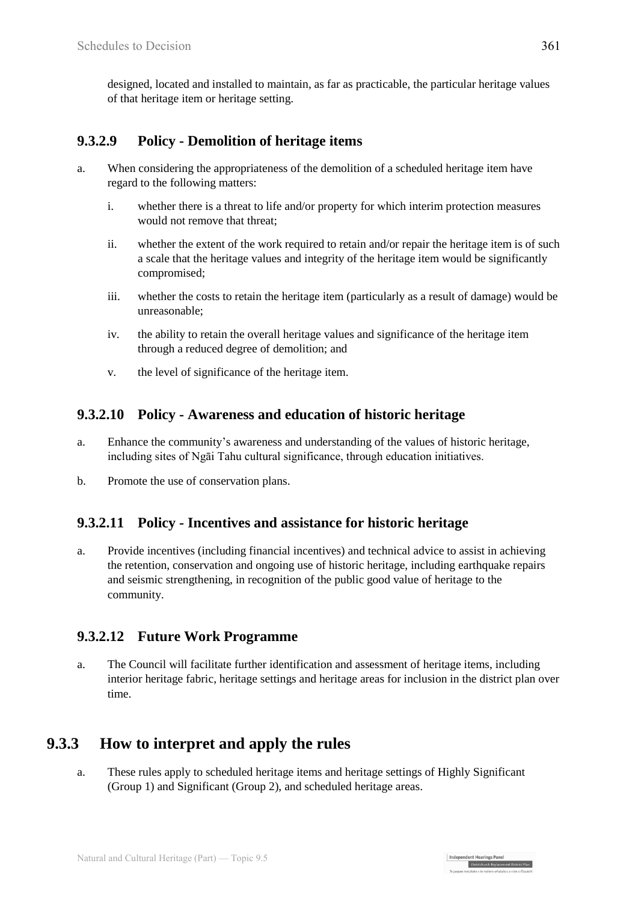designed, located and installed to maintain, as far as practicable, the particular heritage values of that heritage item or heritage setting.

### **9.3.2.9 Policy - Demolition of heritage items**

- a. When considering the appropriateness of the demolition of a scheduled heritage item have regard to the following matters:
	- i. whether there is a threat to life and/or property for which interim protection measures would not remove that threat;
	- ii. whether the extent of the work required to retain and/or repair the heritage item is of such a scale that the heritage values and integrity of the heritage item would be significantly compromised;
	- iii. whether the costs to retain the heritage item (particularly as a result of damage) would be unreasonable;
	- iv. the ability to retain the overall heritage values and significance of the heritage item through a reduced degree of demolition; and
	- v. the level of significance of the heritage item.

#### **9.3.2.10 Policy - Awareness and education of historic heritage**

- a. Enhance the community's awareness and understanding of the values of historic heritage, including sites of Ngāi Tahu cultural significance, through education initiatives.
- b. Promote the use of conservation plans.

#### **9.3.2.11 Policy - Incentives and assistance for historic heritage**

a. Provide incentives (including financial incentives) and technical advice to assist in achieving the retention, conservation and ongoing use of historic heritage, including earthquake repairs and seismic strengthening, in recognition of the public good value of heritage to the community.

### **9.3.2.12 Future Work Programme**

a. The Council will facilitate further identification and assessment of heritage items, including interior heritage fabric, heritage settings and heritage areas for inclusion in the district plan over time.

## **9.3.3 How to interpret and apply the rules**

a. These rules apply to scheduled heritage items and heritage settings of Highly Significant (Group 1) and Significant (Group 2), and scheduled heritage areas.

Independent Hearings Panel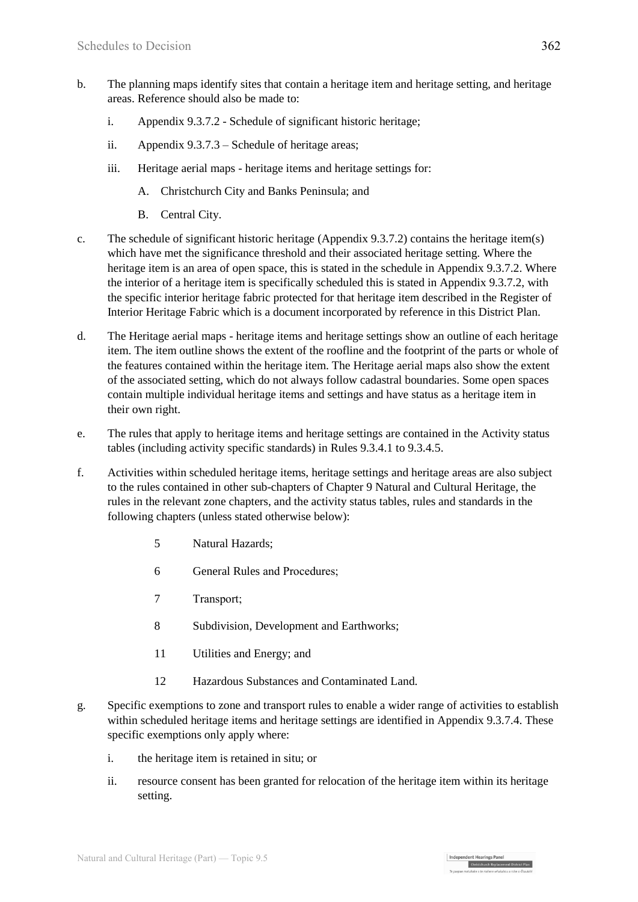- b. The planning maps identify sites that contain a heritage item and heritage setting, and heritage areas. Reference should also be made to:
	- i. Appendix 9.3.7.2 Schedule of significant historic heritage;
	- ii. Appendix 9.3.7.3 Schedule of heritage areas;
	- iii. Heritage aerial maps heritage items and heritage settings for:
		- A. Christchurch City and Banks Peninsula; and
		- B. Central City.
- c. The schedule of significant historic heritage (Appendix 9.3.7.2) contains the heritage item(s) which have met the significance threshold and their associated heritage setting. Where the heritage item is an area of open space, this is stated in the schedule in Appendix 9.3.7.2. Where the interior of a heritage item is specifically scheduled this is stated in Appendix 9.3.7.2, with the specific interior heritage fabric protected for that heritage item described in the Register of Interior Heritage Fabric which is a document incorporated by reference in this District Plan.
- d. The Heritage aerial maps heritage items and heritage settings show an outline of each heritage item. The item outline shows the extent of the roofline and the footprint of the parts or whole of the features contained within the heritage item. The Heritage aerial maps also show the extent of the associated setting, which do not always follow cadastral boundaries. Some open spaces contain multiple individual heritage items and settings and have status as a heritage item in their own right.
- e. The rules that apply to heritage items and heritage settings are contained in the Activity status tables (including activity specific standards) in Rules 9.3.4.1 to 9.3.4.5.
- f. Activities within scheduled heritage items, heritage settings and heritage areas are also subject to the rules contained in other sub-chapters of Chapter 9 Natural and Cultural Heritage, the rules in the relevant zone chapters, and the activity status tables, rules and standards in the following chapters (unless stated otherwise below):
	- 5 Natural Hazards;
	- 6 General Rules and Procedures;
	- 7 Transport;
	- 8 Subdivision, Development and Earthworks;
	- 11 Utilities and Energy; and
	- 12 Hazardous Substances and Contaminated Land.
- g. Specific exemptions to zone and transport rules to enable a wider range of activities to establish within scheduled heritage items and heritage settings are identified in Appendix 9.3.7.4. These specific exemptions only apply where:
	- i. the heritage item is retained in situ; or
	- ii. resource consent has been granted for relocation of the heritage item within its heritage setting.

| Independent Hearings Pane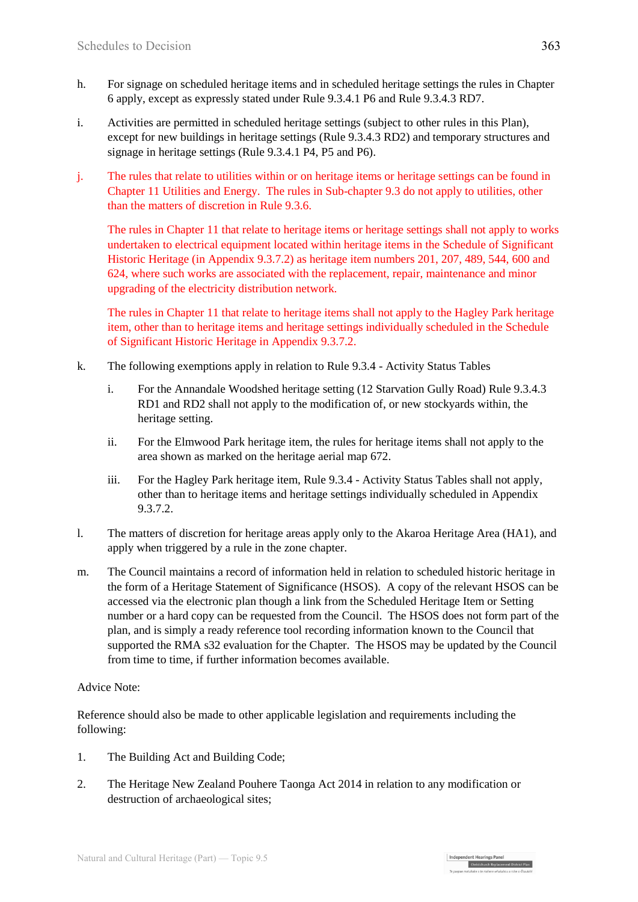- h. For signage on scheduled heritage items and in scheduled heritage settings the rules in Chapter 6 apply, except as expressly stated under Rule 9.3.4.1 P6 and Rule 9.3.4.3 RD7.
- i. Activities are permitted in scheduled heritage settings (subject to other rules in this Plan), except for new buildings in heritage settings (Rule 9.3.4.3 RD2) and temporary structures and signage in heritage settings (Rule 9.3.4.1 P4, P5 and P6).
- j. The rules that relate to utilities within or on heritage items or heritage settings can be found in Chapter 11 Utilities and Energy. The rules in Sub-chapter 9.3 do not apply to utilities, other than the matters of discretion in Rule 9.3.6.

The rules in Chapter 11 that relate to heritage items or heritage settings shall not apply to works undertaken to electrical equipment located within heritage items in the Schedule of Significant Historic Heritage (in Appendix 9.3.7.2) as heritage item numbers 201, 207, 489, 544, 600 and 624, where such works are associated with the replacement, repair, maintenance and minor upgrading of the electricity distribution network.

The rules in Chapter 11 that relate to heritage items shall not apply to the Hagley Park heritage item, other than to heritage items and heritage settings individually scheduled in the Schedule of Significant Historic Heritage in Appendix 9.3.7.2.

- k. The following exemptions apply in relation to Rule 9.3.4 Activity Status Tables
	- i. For the Annandale Woodshed heritage setting (12 Starvation Gully Road) Rule 9.3.4.3 RD1 and RD2 shall not apply to the modification of, or new stockyards within, the heritage setting.
	- ii. For the Elmwood Park heritage item, the rules for heritage items shall not apply to the area shown as marked on the heritage aerial map 672.
	- iii. For the Hagley Park heritage item, Rule 9.3.4 Activity Status Tables shall not apply, other than to heritage items and heritage settings individually scheduled in Appendix 9.3.7.2.
- l. The matters of discretion for heritage areas apply only to the Akaroa Heritage Area (HA1), and apply when triggered by a rule in the zone chapter.
- m. The Council maintains a record of information held in relation to scheduled historic heritage in the form of a Heritage Statement of Significance (HSOS). A copy of the relevant HSOS can be accessed via the electronic plan though a link from the Scheduled Heritage Item or Setting number or a hard copy can be requested from the Council. The HSOS does not form part of the plan, and is simply a ready reference tool recording information known to the Council that supported the RMA s32 evaluation for the Chapter. The HSOS may be updated by the Council from time to time, if further information becomes available.

#### Advice Note:

Reference should also be made to other applicable legislation and requirements including the following:

- 1. The Building Act and Building Code;
- 2. The Heritage New Zealand Pouhere Taonga Act 2014 in relation to any modification or destruction of archaeological sites;

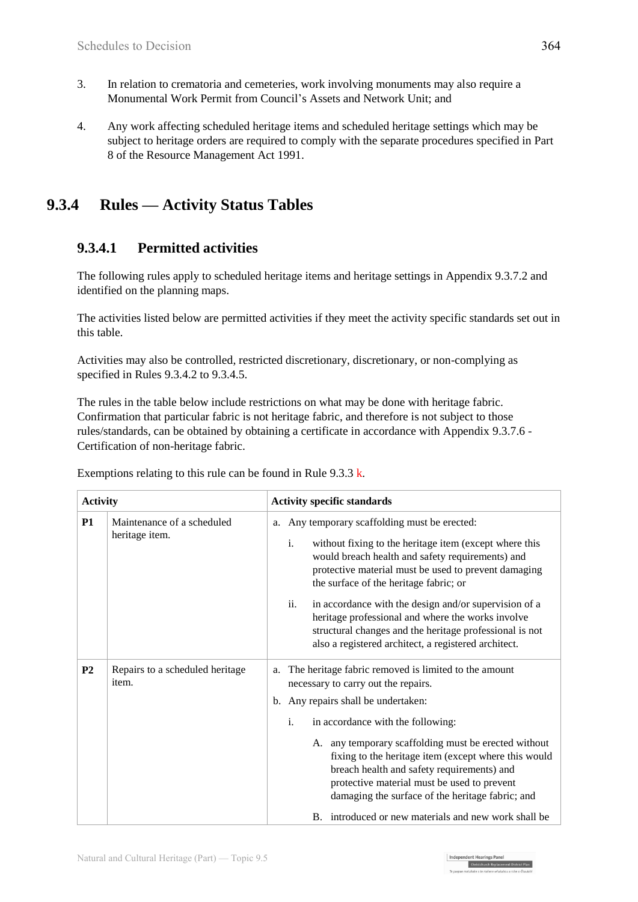- 3. In relation to crematoria and cemeteries, work involving monuments may also require a Monumental Work Permit from Council's Assets and Network Unit; and
- 4. Any work affecting scheduled heritage items and scheduled heritage settings which may be subject to heritage orders are required to comply with the separate procedures specified in Part 8 of the Resource Management Act 1991.

## **9.3.4 Rules — Activity Status Tables**

### **9.3.4.1 Permitted activities**

The following rules apply to scheduled heritage items and heritage settings in Appendix 9.3.7.2 and identified on the planning maps.

The activities listed below are permitted activities if they meet the activity specific standards set out in this table.

Activities may also be controlled, restricted discretionary, discretionary, or non-complying as specified in Rules 9.3.4.2 to 9.3.4.5.

The rules in the table below include restrictions on what may be done with heritage fabric. Confirmation that particular fabric is not heritage fabric, and therefore is not subject to those rules/standards, can be obtained by obtaining a certificate in accordance with Appendix 9.3.7.6 - Certification of non-heritage fabric.

| <b>Activity</b> |                                              | <b>Activity specific standards</b>                                                                                                                                                                                                                                                                                                                                                                                                                   |  |  |
|-----------------|----------------------------------------------|------------------------------------------------------------------------------------------------------------------------------------------------------------------------------------------------------------------------------------------------------------------------------------------------------------------------------------------------------------------------------------------------------------------------------------------------------|--|--|
| <b>P1</b>       | Maintenance of a scheduled<br>heritage item. | Any temporary scaffolding must be erected:<br>a.<br>$\mathbf{i}$ .<br>without fixing to the heritage item (except where this<br>would breach health and safety requirements) and<br>protective material must be used to prevent damaging<br>the surface of the heritage fabric; or                                                                                                                                                                   |  |  |
|                 |                                              | ii.<br>in accordance with the design and/or supervision of a<br>heritage professional and where the works involve<br>structural changes and the heritage professional is not<br>also a registered architect, a registered architect.                                                                                                                                                                                                                 |  |  |
| P <sub>2</sub>  | Repairs to a scheduled heritage<br>item.     | The heritage fabric removed is limited to the amount<br>a.<br>necessary to carry out the repairs.<br>b. Any repairs shall be undertaken:<br>i.<br>in accordance with the following:<br>A. any temporary scaffolding must be erected without<br>fixing to the heritage item (except where this would<br>breach health and safety requirements) and<br>protective material must be used to prevent<br>damaging the surface of the heritage fabric; and |  |  |
|                 |                                              | B. introduced or new materials and new work shall be.                                                                                                                                                                                                                                                                                                                                                                                                |  |  |

Exemptions relating to this rule can be found in Rule  $9.3.3 \text{ k.}$ 

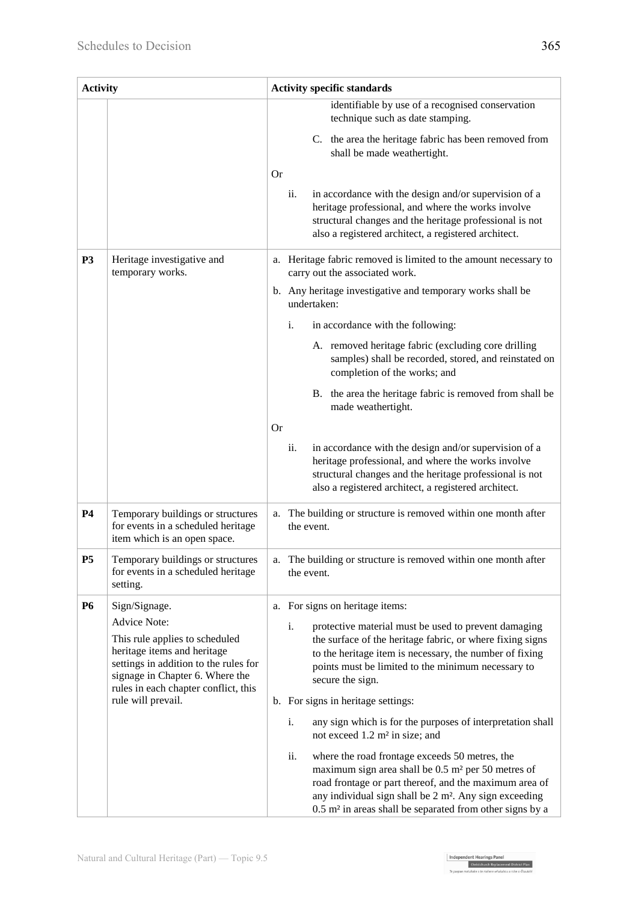| <b>Activity</b> |                                                                                                                                                                                                          | <b>Activity specific standards</b>                                                                                                                                                                                                                                                                                              |  |  |
|-----------------|----------------------------------------------------------------------------------------------------------------------------------------------------------------------------------------------------------|---------------------------------------------------------------------------------------------------------------------------------------------------------------------------------------------------------------------------------------------------------------------------------------------------------------------------------|--|--|
|                 |                                                                                                                                                                                                          | identifiable by use of a recognised conservation<br>technique such as date stamping.                                                                                                                                                                                                                                            |  |  |
|                 |                                                                                                                                                                                                          | C. the area the heritage fabric has been removed from<br>shall be made weathertight.                                                                                                                                                                                                                                            |  |  |
|                 |                                                                                                                                                                                                          | <b>Or</b>                                                                                                                                                                                                                                                                                                                       |  |  |
|                 |                                                                                                                                                                                                          | in accordance with the design and/or supervision of a<br>ii.<br>heritage professional, and where the works involve<br>structural changes and the heritage professional is not<br>also a registered architect, a registered architect.                                                                                           |  |  |
| P <sub>3</sub>  | Heritage investigative and<br>temporary works.                                                                                                                                                           | a. Heritage fabric removed is limited to the amount necessary to<br>carry out the associated work.                                                                                                                                                                                                                              |  |  |
|                 |                                                                                                                                                                                                          | b. Any heritage investigative and temporary works shall be<br>undertaken:                                                                                                                                                                                                                                                       |  |  |
|                 |                                                                                                                                                                                                          | i.<br>in accordance with the following:                                                                                                                                                                                                                                                                                         |  |  |
|                 |                                                                                                                                                                                                          | A. removed heritage fabric (excluding core drilling<br>samples) shall be recorded, stored, and reinstated on<br>completion of the works; and                                                                                                                                                                                    |  |  |
|                 |                                                                                                                                                                                                          | B. the area the heritage fabric is removed from shall be<br>made weathertight.                                                                                                                                                                                                                                                  |  |  |
|                 |                                                                                                                                                                                                          | <b>Or</b>                                                                                                                                                                                                                                                                                                                       |  |  |
|                 |                                                                                                                                                                                                          | ii.<br>in accordance with the design and/or supervision of a<br>heritage professional, and where the works involve<br>structural changes and the heritage professional is not<br>also a registered architect, a registered architect.                                                                                           |  |  |
| <b>P4</b>       | Temporary buildings or structures<br>for events in a scheduled heritage<br>item which is an open space.                                                                                                  | The building or structure is removed within one month after<br>a.<br>the event.                                                                                                                                                                                                                                                 |  |  |
| P <sub>5</sub>  | Temporary buildings or structures<br>for events in a scheduled heritage<br>setting.                                                                                                                      | a. The building or structure is removed within one month after<br>the event.                                                                                                                                                                                                                                                    |  |  |
| <b>P6</b>       | Sign/Signage.                                                                                                                                                                                            | For signs on heritage items:<br>a.                                                                                                                                                                                                                                                                                              |  |  |
|                 | <b>Advice Note:</b><br>This rule applies to scheduled<br>heritage items and heritage<br>settings in addition to the rules for<br>signage in Chapter 6. Where the<br>rules in each chapter conflict, this | i.<br>protective material must be used to prevent damaging<br>the surface of the heritage fabric, or where fixing signs<br>to the heritage item is necessary, the number of fixing<br>points must be limited to the minimum necessary to<br>secure the sign.                                                                    |  |  |
|                 | rule will prevail.                                                                                                                                                                                       | b. For signs in heritage settings:                                                                                                                                                                                                                                                                                              |  |  |
|                 |                                                                                                                                                                                                          | i.<br>any sign which is for the purposes of interpretation shall<br>not exceed $1.2 \text{ m}^2$ in size; and                                                                                                                                                                                                                   |  |  |
|                 |                                                                                                                                                                                                          | ii.<br>where the road frontage exceeds 50 metres, the<br>maximum sign area shall be 0.5 m <sup>2</sup> per 50 metres of<br>road frontage or part thereof, and the maximum area of<br>any individual sign shall be 2 m <sup>2</sup> . Any sign exceeding<br>0.5 m <sup>2</sup> in areas shall be separated from other signs by a |  |  |

Independent Hearings Panel<br>Christchurch Replacement District Plan<br>To agent application of a make only the base of fourth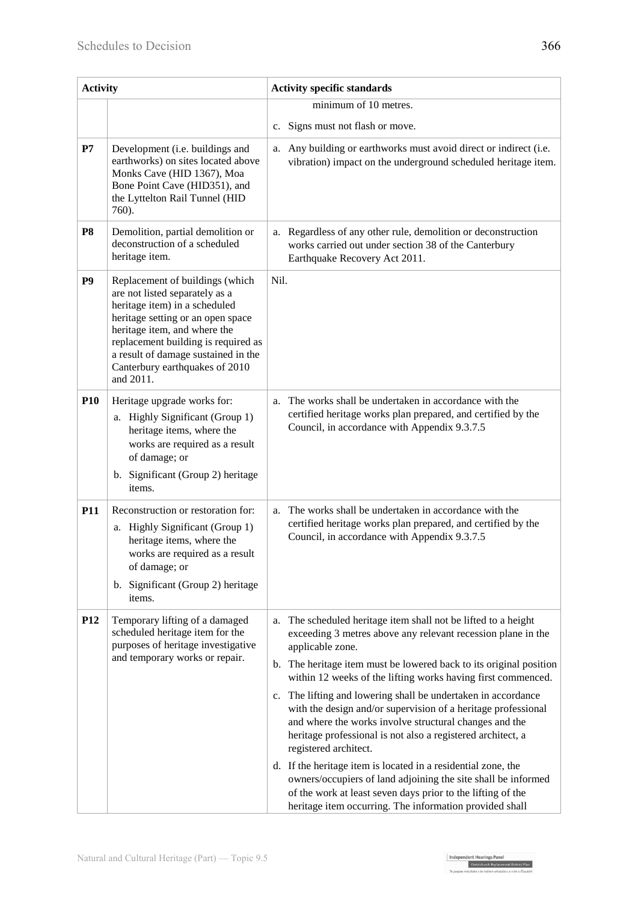| <b>Activity</b> |                                                                                                                                                                                                                                                                                                      | <b>Activity specific standards</b>                                                                                                                                                                                                                                                                                                                                                                                                                                                                                                                                    |  |  |
|-----------------|------------------------------------------------------------------------------------------------------------------------------------------------------------------------------------------------------------------------------------------------------------------------------------------------------|-----------------------------------------------------------------------------------------------------------------------------------------------------------------------------------------------------------------------------------------------------------------------------------------------------------------------------------------------------------------------------------------------------------------------------------------------------------------------------------------------------------------------------------------------------------------------|--|--|
|                 |                                                                                                                                                                                                                                                                                                      | minimum of 10 metres.                                                                                                                                                                                                                                                                                                                                                                                                                                                                                                                                                 |  |  |
|                 |                                                                                                                                                                                                                                                                                                      | c. Signs must not flash or move.                                                                                                                                                                                                                                                                                                                                                                                                                                                                                                                                      |  |  |
| P7              | Development (i.e. buildings and<br>earthworks) on sites located above<br>Monks Cave (HID 1367), Moa<br>Bone Point Cave (HID351), and<br>the Lyttelton Rail Tunnel (HID<br>760).                                                                                                                      | Any building or earthworks must avoid direct or indirect (i.e.<br>a.<br>vibration) impact on the underground scheduled heritage item.                                                                                                                                                                                                                                                                                                                                                                                                                                 |  |  |
| <b>P8</b>       | Demolition, partial demolition or<br>deconstruction of a scheduled<br>heritage item.                                                                                                                                                                                                                 | Regardless of any other rule, demolition or deconstruction<br>a.<br>works carried out under section 38 of the Canterbury<br>Earthquake Recovery Act 2011.                                                                                                                                                                                                                                                                                                                                                                                                             |  |  |
| <b>P9</b>       | Replacement of buildings (which<br>are not listed separately as a<br>heritage item) in a scheduled<br>heritage setting or an open space<br>heritage item, and where the<br>replacement building is required as<br>a result of damage sustained in the<br>Canterbury earthquakes of 2010<br>and 2011. | Nil.                                                                                                                                                                                                                                                                                                                                                                                                                                                                                                                                                                  |  |  |
| <b>P10</b>      | Heritage upgrade works for:<br>a. Highly Significant (Group 1)<br>heritage items, where the<br>works are required as a result<br>of damage; or<br>b. Significant (Group 2) heritage<br>items.                                                                                                        | The works shall be undertaken in accordance with the<br>a.<br>certified heritage works plan prepared, and certified by the<br>Council, in accordance with Appendix 9.3.7.5                                                                                                                                                                                                                                                                                                                                                                                            |  |  |
| <b>P11</b>      | Reconstruction or restoration for:<br>a. Highly Significant (Group 1)<br>heritage items, where the<br>works are required as a result<br>of damage; or<br>b. Significant (Group 2) heritage<br>items.                                                                                                 | The works shall be undertaken in accordance with the<br>a.<br>certified heritage works plan prepared, and certified by the<br>Council, in accordance with Appendix 9.3.7.5                                                                                                                                                                                                                                                                                                                                                                                            |  |  |
| P <sub>12</sub> | Temporary lifting of a damaged<br>scheduled heritage item for the<br>purposes of heritage investigative<br>and temporary works or repair.                                                                                                                                                            | The scheduled heritage item shall not be lifted to a height<br>a.<br>exceeding 3 metres above any relevant recession plane in the<br>applicable zone.<br>The heritage item must be lowered back to its original position<br>b.<br>within 12 weeks of the lifting works having first commenced.<br>The lifting and lowering shall be undertaken in accordance<br>$c_{\cdot}$<br>with the design and/or supervision of a heritage professional<br>and where the works involve structural changes and the<br>heritage professional is not also a registered architect, a |  |  |
|                 |                                                                                                                                                                                                                                                                                                      | registered architect.<br>d. If the heritage item is located in a residential zone, the<br>owners/occupiers of land adjoining the site shall be informed<br>of the work at least seven days prior to the lifting of the<br>heritage item occurring. The information provided shall                                                                                                                                                                                                                                                                                     |  |  |

Independent Hearings Panel<br>Christchurch Replacement District Plan<br>To agent application of a make only the base of fourth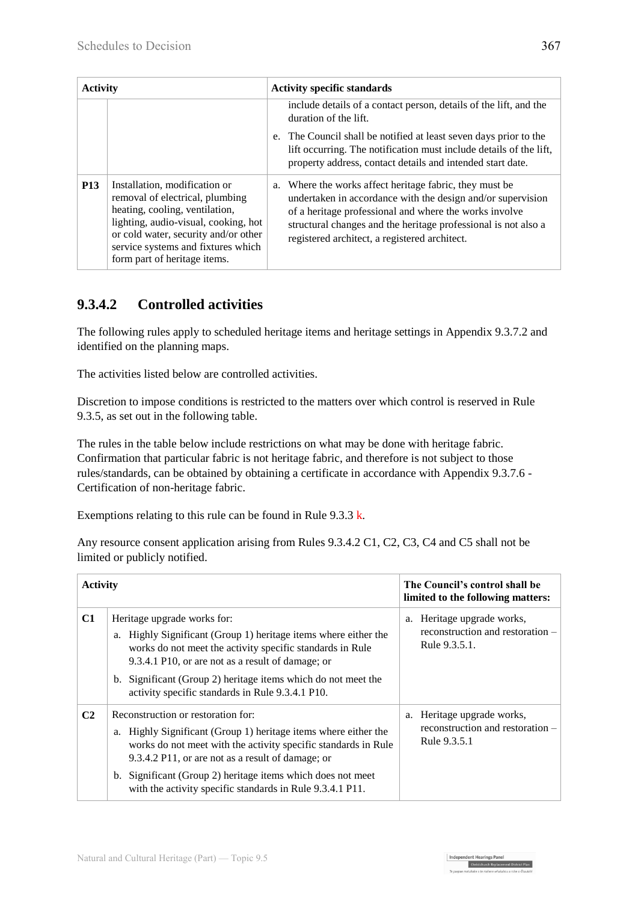| <b>Activity</b> |                                                                                                                                                                                                                                                          | <b>Activity specific standards</b> |                                                                                                                                                                                                                                                                                                  |
|-----------------|----------------------------------------------------------------------------------------------------------------------------------------------------------------------------------------------------------------------------------------------------------|------------------------------------|--------------------------------------------------------------------------------------------------------------------------------------------------------------------------------------------------------------------------------------------------------------------------------------------------|
|                 |                                                                                                                                                                                                                                                          |                                    | include details of a contact person, details of the lift, and the<br>duration of the lift.                                                                                                                                                                                                       |
|                 |                                                                                                                                                                                                                                                          |                                    | The Council shall be notified at least seven days prior to the<br>lift occurring. The notification must include details of the lift,<br>property address, contact details and intended start date.                                                                                               |
| <b>P13</b>      | Installation, modification or<br>removal of electrical, plumbing<br>heating, cooling, ventilation,<br>lighting, audio-visual, cooking, hot<br>or cold water, security and/or other<br>service systems and fixtures which<br>form part of heritage items. | a.                                 | Where the works affect heritage fabric, they must be<br>undertaken in accordance with the design and/or supervision<br>of a heritage professional and where the works involve<br>structural changes and the heritage professional is not also a<br>registered architect, a registered architect. |

## **9.3.4.2 Controlled activities**

The following rules apply to scheduled heritage items and heritage settings in Appendix 9.3.7.2 and identified on the planning maps.

The activities listed below are controlled activities.

Discretion to impose conditions is restricted to the matters over which control is reserved in Rule 9.3.5, as set out in the following table.

The rules in the table below include restrictions on what may be done with heritage fabric. Confirmation that particular fabric is not heritage fabric, and therefore is not subject to those rules/standards, can be obtained by obtaining a certificate in accordance with Appendix 9.3.7.6 - Certification of non-heritage fabric.

Exemptions relating to this rule can be found in Rule  $9.3.3 \text{ k.}$ 

| <b>Activity</b> |                                                                                                                                                                                                                                                                                                                                                          | The Council's control shall be<br>limited to the following matters:             |
|-----------------|----------------------------------------------------------------------------------------------------------------------------------------------------------------------------------------------------------------------------------------------------------------------------------------------------------------------------------------------------------|---------------------------------------------------------------------------------|
| C1              | Heritage upgrade works for:<br>a. Highly Significant (Group 1) heritage items where either the<br>works do not meet the activity specific standards in Rule<br>9.3.4.1 P10, or are not as a result of damage; or<br>b. Significant (Group 2) heritage items which do not meet the<br>activity specific standards in Rule 9.3.4.1 P10.                    | a. Heritage upgrade works,<br>reconstruction and restoration –<br>Rule 9.3.5.1. |
| C <sub>2</sub>  | Reconstruction or restoration for:<br>a. Highly Significant (Group 1) heritage items where either the<br>works do not meet with the activity specific standards in Rule<br>9.3.4.2 P11, or are not as a result of damage; or<br>b. Significant (Group 2) heritage items which does not meet<br>with the activity specific standards in Rule 9.3.4.1 P11. | a. Heritage upgrade works,<br>reconstruction and restoration –<br>Rule 9.3.5.1  |

Independent Hearings Panel<br>Christchurch Replacement District Pl

Any resource consent application arising from Rules 9.3.4.2 C1, C2, C3, C4 and C5 shall not be limited or publicly notified.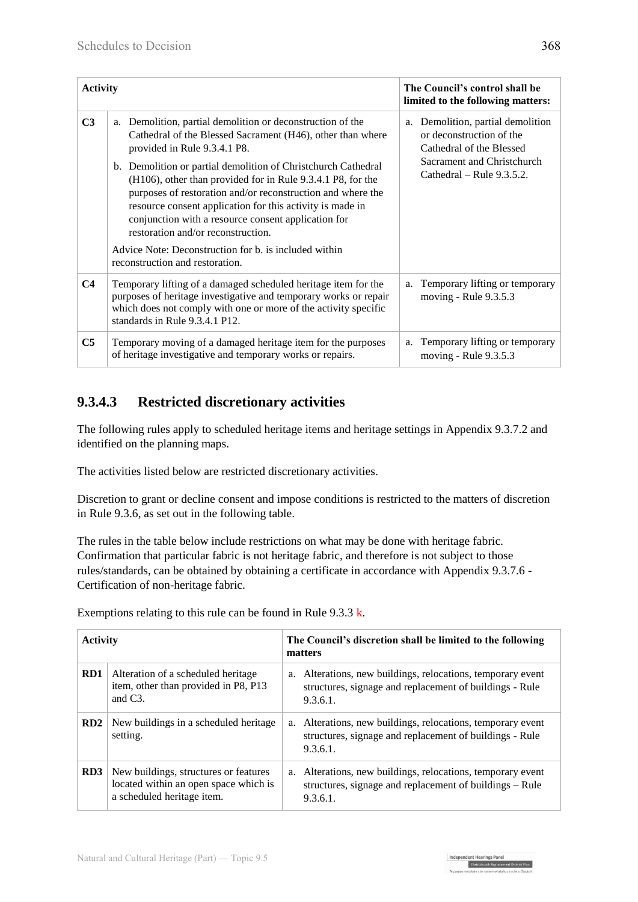| <b>Activity</b> |                                                                                                                                                                                                                                                                                                                                                                                                                                                                                                                                                                                                               | The Council's control shall be<br>limited to the following matters:                                                                                  |
|-----------------|---------------------------------------------------------------------------------------------------------------------------------------------------------------------------------------------------------------------------------------------------------------------------------------------------------------------------------------------------------------------------------------------------------------------------------------------------------------------------------------------------------------------------------------------------------------------------------------------------------------|------------------------------------------------------------------------------------------------------------------------------------------------------|
| C <sub>3</sub>  | a. Demolition, partial demolition or deconstruction of the<br>Cathedral of the Blessed Sacrament (H46), other than where<br>provided in Rule 9.3.4.1 P8.<br>b. Demolition or partial demolition of Christchurch Cathedral<br>(H106), other than provided for in Rule 9.3.4.1 P8, for the<br>purposes of restoration and/or reconstruction and where the<br>resource consent application for this activity is made in<br>conjunction with a resource consent application for<br>restoration and/or reconstruction.<br>Advice Note: Deconstruction for b. is included within<br>reconstruction and restoration. | a. Demolition, partial demolition<br>or deconstruction of the<br>Cathedral of the Blessed<br>Sacrament and Christchurch<br>Cathedral – Rule 9.3.5.2. |
| C <sub>4</sub>  | Temporary lifting of a damaged scheduled heritage item for the<br>purposes of heritage investigative and temporary works or repair<br>which does not comply with one or more of the activity specific<br>standards in Rule 9.3.4.1 P12.                                                                                                                                                                                                                                                                                                                                                                       | Temporary lifting or temporary<br>a.<br>moving - Rule 9.3.5.3                                                                                        |
| C <sub>5</sub>  | Temporary moving of a damaged heritage item for the purposes<br>of heritage investigative and temporary works or repairs.                                                                                                                                                                                                                                                                                                                                                                                                                                                                                     | Temporary lifting or temporary<br>a.<br>moving - Rule 9.3.5.3                                                                                        |

## **9.3.4.3 Restricted discretionary activities**

The following rules apply to scheduled heritage items and heritage settings in Appendix 9.3.7.2 and identified on the planning maps.

The activities listed below are restricted discretionary activities.

Discretion to grant or decline consent and impose conditions is restricted to the matters of discretion in Rule 9.3.6, as set out in the following table.

The rules in the table below include restrictions on what may be done with heritage fabric. Confirmation that particular fabric is not heritage fabric, and therefore is not subject to those rules/standards, can be obtained by obtaining a certificate in accordance with Appendix 9.3.7.6 - Certification of non-heritage fabric.

| <b>Activity</b> |                                                                                                              | The Council's discretion shall be limited to the following<br>matters |                                                                                                                                    |  |
|-----------------|--------------------------------------------------------------------------------------------------------------|-----------------------------------------------------------------------|------------------------------------------------------------------------------------------------------------------------------------|--|
| RD <sub>1</sub> | Alteration of a scheduled heritage.<br>item, other than provided in P8, P13<br>and $C3$ .                    |                                                                       | a. Alterations, new buildings, relocations, temporary event<br>structures, signage and replacement of buildings - Rule<br>9.3.6.1. |  |
| RD <sub>2</sub> | New buildings in a scheduled heritage.<br>setting.                                                           |                                                                       | a. Alterations, new buildings, relocations, temporary event<br>structures, signage and replacement of buildings - Rule<br>9.3.6.1. |  |
| RD <sub>3</sub> | New buildings, structures or features<br>located within an open space which is<br>a scheduled heritage item. |                                                                       | a. Alterations, new buildings, relocations, temporary event<br>structures, signage and replacement of buildings – Rule<br>9.3.6.1. |  |

Exemptions relating to this rule can be found in Rule 9.3.3 k.

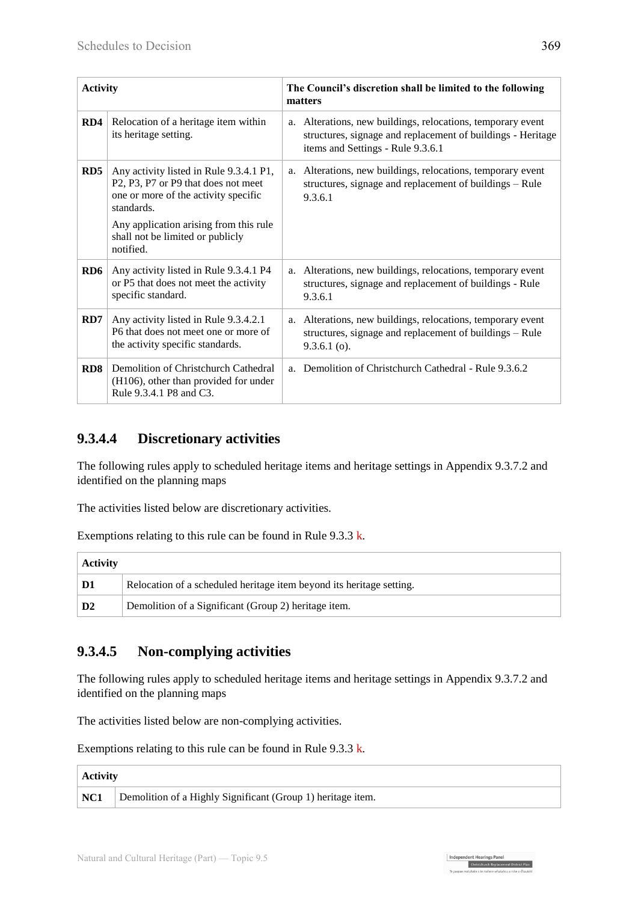| <b>Activity</b> |                                                                                                                                                                                                                                                                                   | The Council's discretion shall be limited to the following<br>matters |                                                                                                                                                                 |  |
|-----------------|-----------------------------------------------------------------------------------------------------------------------------------------------------------------------------------------------------------------------------------------------------------------------------------|-----------------------------------------------------------------------|-----------------------------------------------------------------------------------------------------------------------------------------------------------------|--|
| RD4             | Relocation of a heritage item within<br>its heritage setting.                                                                                                                                                                                                                     |                                                                       | a. Alterations, new buildings, relocations, temporary event<br>structures, signage and replacement of buildings - Heritage<br>items and Settings - Rule 9.3.6.1 |  |
| RD5             | Any activity listed in Rule 9.3.4.1 P1,<br>P <sub>2</sub> , P <sub>3</sub> , P <sub>7</sub> or P <sub>9</sub> that does not meet<br>one or more of the activity specific<br>standards.<br>Any application arising from this rule<br>shall not be limited or publicly<br>notified. |                                                                       | a. Alterations, new buildings, relocations, temporary event<br>structures, signage and replacement of buildings – Rule<br>9.3.6.1                               |  |
| RD6             | Any activity listed in Rule 9.3.4.1 P4<br>or P5 that does not meet the activity<br>specific standard.                                                                                                                                                                             |                                                                       | a. Alterations, new buildings, relocations, temporary event<br>structures, signage and replacement of buildings - Rule<br>9.3.6.1                               |  |
| RD7             | Any activity listed in Rule 9.3.4.2.1<br>P6 that does not meet one or more of<br>the activity specific standards.                                                                                                                                                                 |                                                                       | a. Alterations, new buildings, relocations, temporary event<br>structures, signage and replacement of buildings – Rule<br>$9.3.6.1$ (o).                        |  |
| RD8             | Demolition of Christchurch Cathedral<br>(H106), other than provided for under<br>Rule 9.3.4.1 P8 and C3.                                                                                                                                                                          |                                                                       | a. Demolition of Christchurch Cathedral - Rule 9.3.6.2                                                                                                          |  |

## **9.3.4.4 Discretionary activities**

The following rules apply to scheduled heritage items and heritage settings in Appendix 9.3.7.2 and identified on the planning maps

The activities listed below are discretionary activities.

Exemptions relating to this rule can be found in Rule 9.3.3 k.

| <b>Activity</b> |                                                                      |  |
|-----------------|----------------------------------------------------------------------|--|
| D1              | Relocation of a scheduled heritage item beyond its heritage setting. |  |
| D <sub>2</sub>  | Demolition of a Significant (Group 2) heritage item.                 |  |

### **9.3.4.5 Non-complying activities**

The following rules apply to scheduled heritage items and heritage settings in Appendix 9.3.7.2 and identified on the planning maps

The activities listed below are non-complying activities.

Exemptions relating to this rule can be found in Rule 9.3.3 k.

| $\vert$ Activity |                                                             |
|------------------|-------------------------------------------------------------|
| $\vert$ NC1      | Demolition of a Highly Significant (Group 1) heritage item. |

Independent Hearings Panel<br>Christchurch Replacement District Planet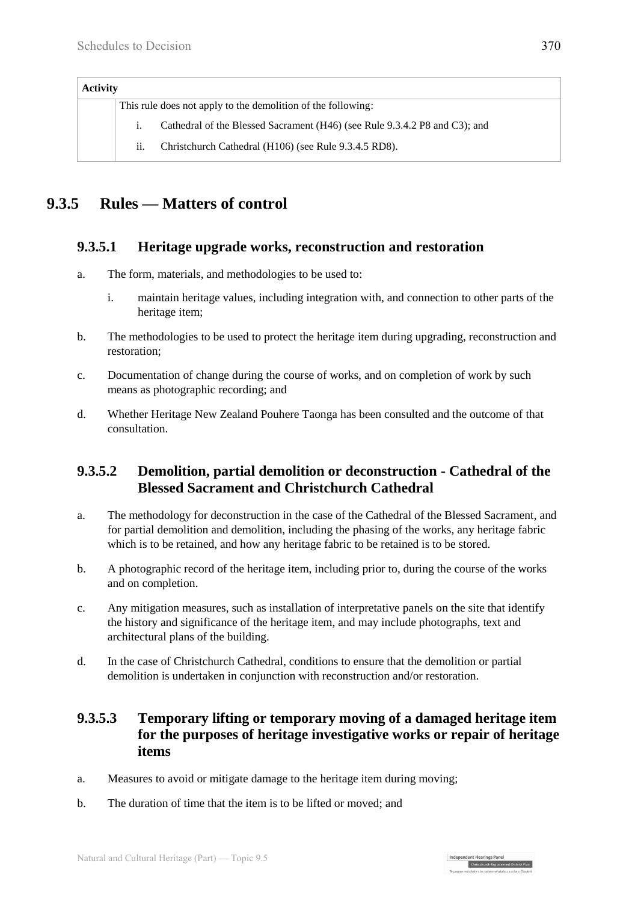| <b>Activity</b> |     |                                                                            |
|-----------------|-----|----------------------------------------------------------------------------|
|                 |     | This rule does not apply to the demolition of the following:               |
|                 |     | Cathedral of the Blessed Sacrament (H46) (see Rule 9.3.4.2 P8 and C3); and |
|                 | 11. | Christchurch Cathedral (H106) (see Rule 9.3.4.5 RD8).                      |

## **9.3.5 Rules — Matters of control**

#### **9.3.5.1 Heritage upgrade works, reconstruction and restoration**

- a. The form, materials, and methodologies to be used to:
	- i. maintain heritage values, including integration with, and connection to other parts of the heritage item;
- b. The methodologies to be used to protect the heritage item during upgrading, reconstruction and restoration;
- c. Documentation of change during the course of works, and on completion of work by such means as photographic recording; and
- d. Whether Heritage New Zealand Pouhere Taonga has been consulted and the outcome of that consultation.

### **9.3.5.2 Demolition, partial demolition or deconstruction - Cathedral of the Blessed Sacrament and Christchurch Cathedral**

- a. The methodology for deconstruction in the case of the Cathedral of the Blessed Sacrament, and for partial demolition and demolition, including the phasing of the works, any heritage fabric which is to be retained, and how any heritage fabric to be retained is to be stored.
- b. A photographic record of the heritage item, including prior to, during the course of the works and on completion.
- c. Any mitigation measures, such as installation of interpretative panels on the site that identify the history and significance of the heritage item, and may include photographs, text and architectural plans of the building.
- d. In the case of Christchurch Cathedral, conditions to ensure that the demolition or partial demolition is undertaken in conjunction with reconstruction and/or restoration.

#### **9.3.5.3 Temporary lifting or temporary moving of a damaged heritage item for the purposes of heritage investigative works or repair of heritage items**

Independent Hearings Panel

- a. Measures to avoid or mitigate damage to the heritage item during moving;
- b. The duration of time that the item is to be lifted or moved; and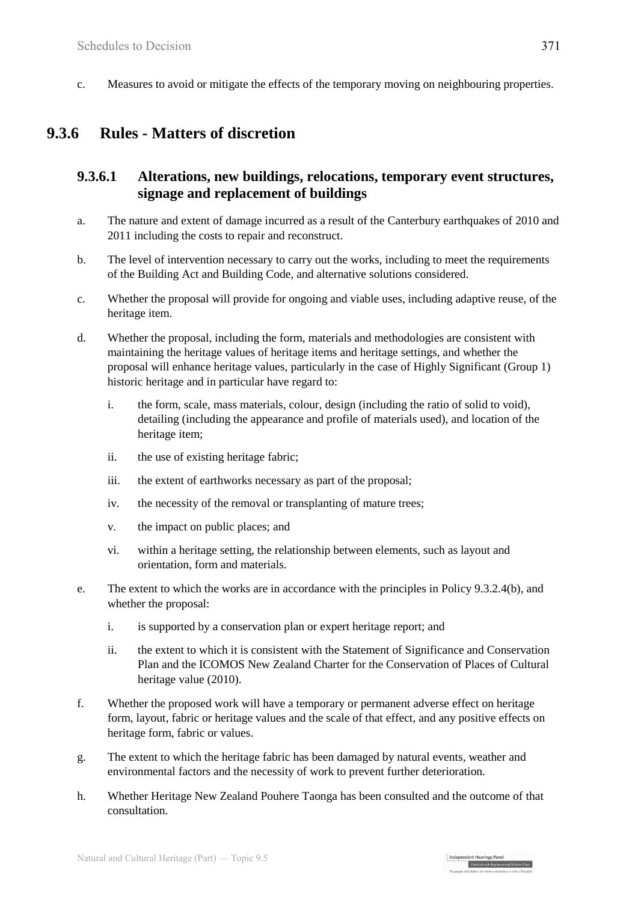c. Measures to avoid or mitigate the effects of the temporary moving on neighbouring properties.

## **9.3.6 Rules - Matters of discretion**

#### **9.3.6.1 Alterations, new buildings, relocations, temporary event structures, signage and replacement of buildings**

- a. The nature and extent of damage incurred as a result of the Canterbury earthquakes of 2010 and 2011 including the costs to repair and reconstruct.
- b. The level of intervention necessary to carry out the works, including to meet the requirements of the Building Act and Building Code, and alternative solutions considered.
- c. Whether the proposal will provide for ongoing and viable uses, including adaptive reuse, of the heritage item.
- d. Whether the proposal, including the form, materials and methodologies are consistent with maintaining the heritage values of heritage items and heritage settings, and whether the proposal will enhance heritage values, particularly in the case of Highly Significant (Group 1) historic heritage and in particular have regard to:
	- i. the form, scale, mass materials, colour, design (including the ratio of solid to void), detailing (including the appearance and profile of materials used), and location of the heritage item;
	- ii. the use of existing heritage fabric;
	- iii. the extent of earthworks necessary as part of the proposal;
	- iv. the necessity of the removal or transplanting of mature trees;
	- v. the impact on public places; and
	- vi. within a heritage setting, the relationship between elements, such as layout and orientation, form and materials.
- e. The extent to which the works are in accordance with the principles in Policy 9.3.2.4(b), and whether the proposal:
	- i. is supported by a conservation plan or expert heritage report; and
	- ii. the extent to which it is consistent with the Statement of Significance and Conservation Plan and the ICOMOS New Zealand Charter for the Conservation of Places of Cultural heritage value (2010).
- f. Whether the proposed work will have a temporary or permanent adverse effect on heritage form, layout, fabric or heritage values and the scale of that effect, and any positive effects on heritage form, fabric or values.
- g. The extent to which the heritage fabric has been damaged by natural events, weather and environmental factors and the necessity of work to prevent further deterioration.
- h. Whether Heritage New Zealand Pouhere Taonga has been consulted and the outcome of that consultation.

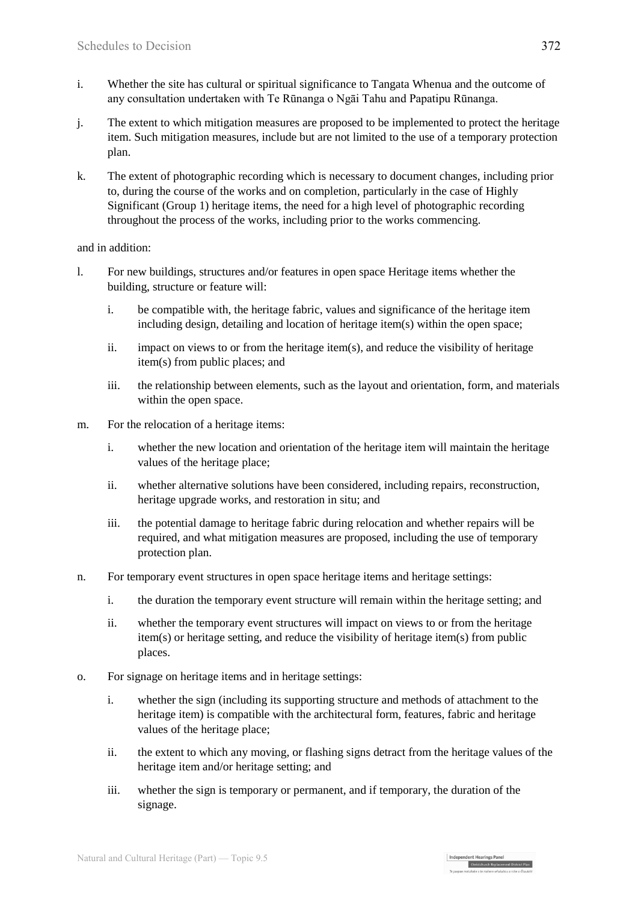- i. Whether the site has cultural or spiritual significance to Tangata Whenua and the outcome of any consultation undertaken with Te Rūnanga o Ngāi Tahu and Papatipu Rūnanga.
- j. The extent to which mitigation measures are proposed to be implemented to protect the heritage item. Such mitigation measures, include but are not limited to the use of a temporary protection plan.
- k. The extent of photographic recording which is necessary to document changes, including prior to, during the course of the works and on completion, particularly in the case of Highly Significant (Group 1) heritage items, the need for a high level of photographic recording throughout the process of the works, including prior to the works commencing.

#### and in addition:

- l. For new buildings, structures and/or features in open space Heritage items whether the building, structure or feature will:
	- i. be compatible with, the heritage fabric, values and significance of the heritage item including design, detailing and location of heritage item(s) within the open space;
	- ii. impact on views to or from the heritage item(s), and reduce the visibility of heritage item(s) from public places; and
	- iii. the relationship between elements, such as the layout and orientation, form, and materials within the open space.
- m. For the relocation of a heritage items:
	- i. whether the new location and orientation of the heritage item will maintain the heritage values of the heritage place;
	- ii. whether alternative solutions have been considered, including repairs, reconstruction, heritage upgrade works, and restoration in situ; and
	- iii. the potential damage to heritage fabric during relocation and whether repairs will be required, and what mitigation measures are proposed, including the use of temporary protection plan.
- n. For temporary event structures in open space heritage items and heritage settings:
	- i. the duration the temporary event structure will remain within the heritage setting; and
	- ii. whether the temporary event structures will impact on views to or from the heritage item(s) or heritage setting, and reduce the visibility of heritage item(s) from public places.
- o. For signage on heritage items and in heritage settings:
	- i. whether the sign (including its supporting structure and methods of attachment to the heritage item) is compatible with the architectural form, features, fabric and heritage values of the heritage place;
	- ii. the extent to which any moving, or flashing signs detract from the heritage values of the heritage item and/or heritage setting; and
	- iii. whether the sign is temporary or permanent, and if temporary, the duration of the signage.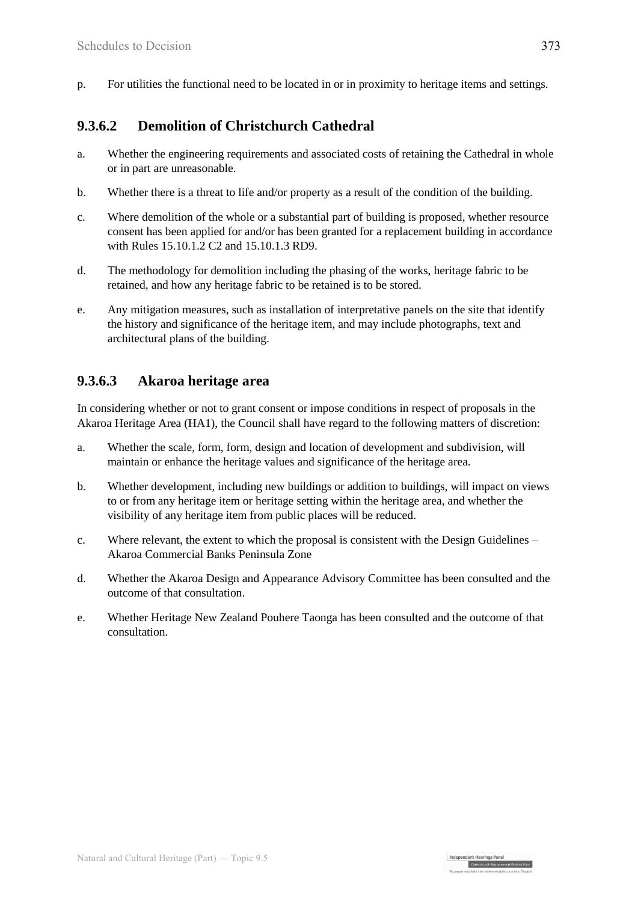p. For utilities the functional need to be located in or in proximity to heritage items and settings.

#### **9.3.6.2 Demolition of Christchurch Cathedral**

- a. Whether the engineering requirements and associated costs of retaining the Cathedral in whole or in part are unreasonable.
- b. Whether there is a threat to life and/or property as a result of the condition of the building.
- c. Where demolition of the whole or a substantial part of building is proposed, whether resource consent has been applied for and/or has been granted for a replacement building in accordance with Rules 15.10.1.2 C2 and 15.10.1.3 RD9.
- d. The methodology for demolition including the phasing of the works, heritage fabric to be retained, and how any heritage fabric to be retained is to be stored.
- e. Any mitigation measures, such as installation of interpretative panels on the site that identify the history and significance of the heritage item, and may include photographs, text and architectural plans of the building.

#### **9.3.6.3 Akaroa heritage area**

In considering whether or not to grant consent or impose conditions in respect of proposals in the Akaroa Heritage Area (HA1), the Council shall have regard to the following matters of discretion:

- a. Whether the scale, form, form, design and location of development and subdivision, will maintain or enhance the heritage values and significance of the heritage area.
- b. Whether development, including new buildings or addition to buildings, will impact on views to or from any heritage item or heritage setting within the heritage area, and whether the visibility of any heritage item from public places will be reduced.
- c. Where relevant, the extent to which the proposal is consistent with the Design Guidelines Akaroa Commercial Banks Peninsula Zone
- d. Whether the Akaroa Design and Appearance Advisory Committee has been consulted and the outcome of that consultation.
- e. Whether Heritage New Zealand Pouhere Taonga has been consulted and the outcome of that consultation.

Independent Hearings Panel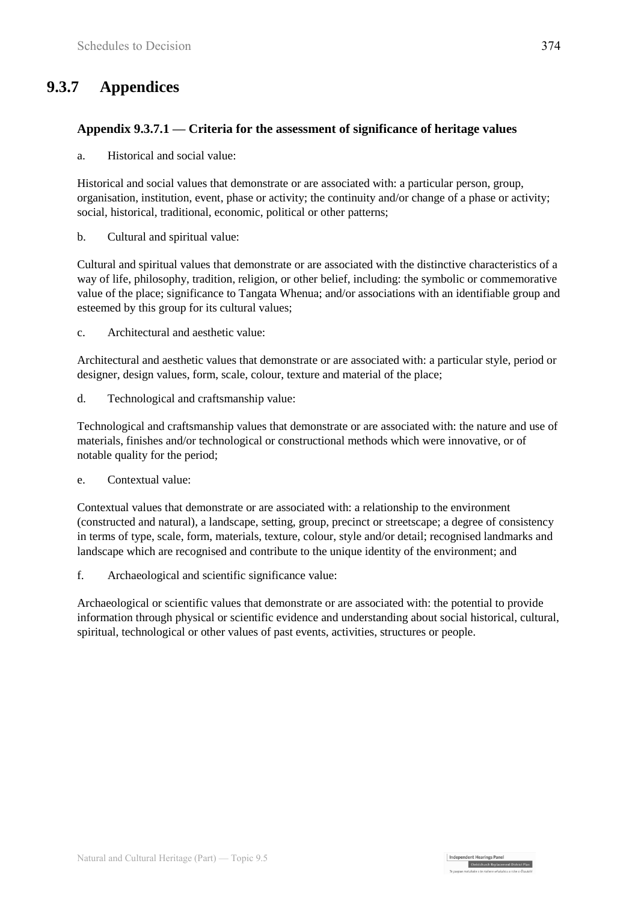## **9.3.7 Appendices**

#### **Appendix 9.3.7.1 — Criteria for the assessment of significance of heritage values**

a. Historical and social value:

Historical and social values that demonstrate or are associated with: a particular person, group, organisation, institution, event, phase or activity; the continuity and/or change of a phase or activity; social, historical, traditional, economic, political or other patterns;

b. Cultural and spiritual value:

Cultural and spiritual values that demonstrate or are associated with the distinctive characteristics of a way of life, philosophy, tradition, religion, or other belief, including: the symbolic or commemorative value of the place; significance to Tangata Whenua; and/or associations with an identifiable group and esteemed by this group for its cultural values;

c. Architectural and aesthetic value:

Architectural and aesthetic values that demonstrate or are associated with: a particular style, period or designer, design values, form, scale, colour, texture and material of the place;

d. Technological and craftsmanship value:

Technological and craftsmanship values that demonstrate or are associated with: the nature and use of materials, finishes and/or technological or constructional methods which were innovative, or of notable quality for the period;

e. Contextual value:

Contextual values that demonstrate or are associated with: a relationship to the environment (constructed and natural), a landscape, setting, group, precinct or streetscape; a degree of consistency in terms of type, scale, form, materials, texture, colour, style and/or detail; recognised landmarks and landscape which are recognised and contribute to the unique identity of the environment; and

f. Archaeological and scientific significance value:

Archaeological or scientific values that demonstrate or are associated with: the potential to provide information through physical or scientific evidence and understanding about social historical, cultural, spiritual, technological or other values of past events, activities, structures or people.

Independent Hearings Pane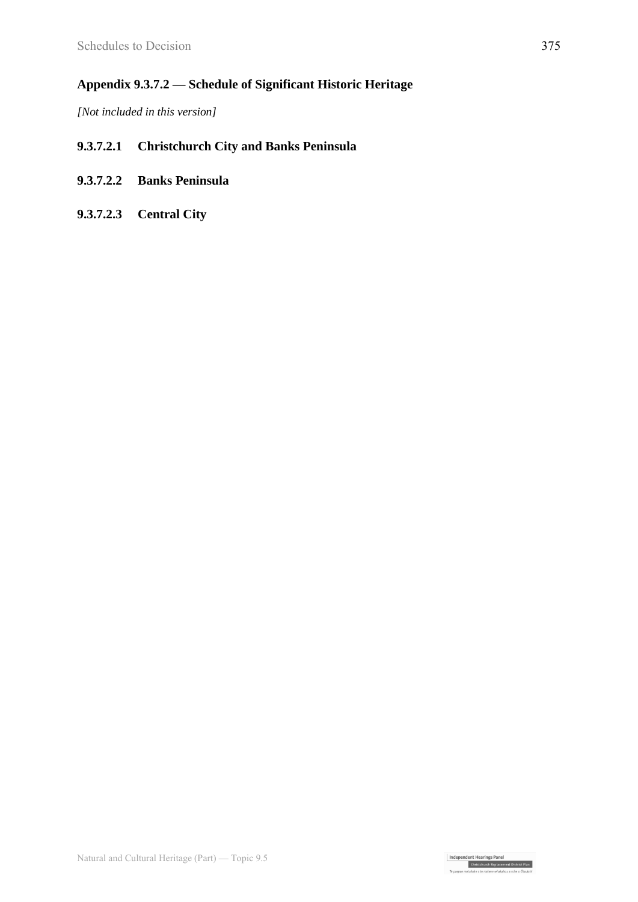#### **Appendix 9.3.7.2 — Schedule of Significant Historic Heritage**

*[Not included in this version]*

#### **9.3.7.2.1 Christchurch City and Banks Peninsula**

- **9.3.7.2.2 Banks Peninsula**
- **9.3.7.2.3 Central City**

Independent Hearings Panel<br>Christchurch Replacement District Plan<br>Te paepae motuhake o te mahere mhakahou a rohe o Ötautah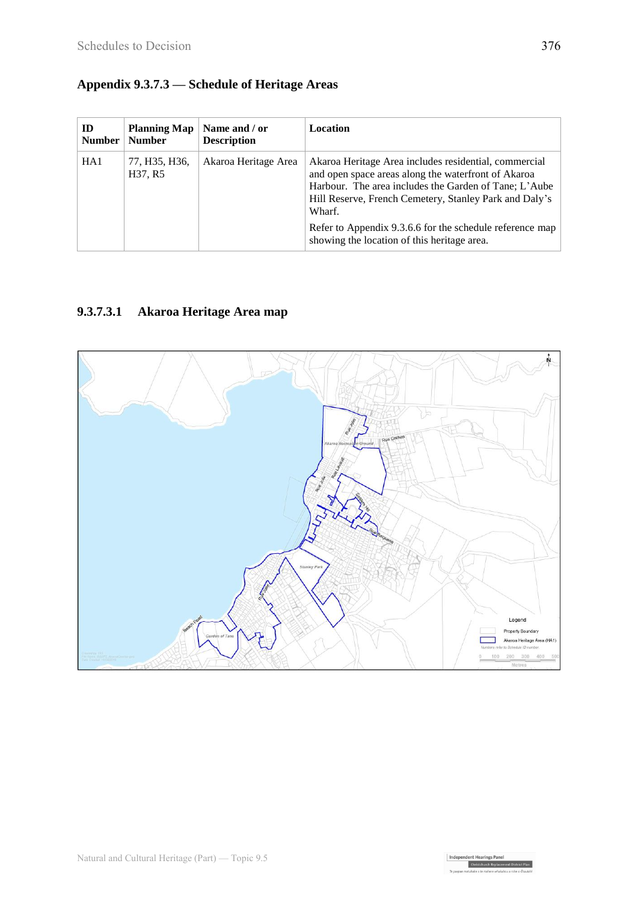## **Appendix 9.3.7.3 — Schedule of Heritage Areas**

| ID<br><b>Number</b> | <b>Planning Map</b><br><b>Number</b> | Name and / or<br><b>Description</b> | Location                                                                                                                                                                                                                                  |
|---------------------|--------------------------------------|-------------------------------------|-------------------------------------------------------------------------------------------------------------------------------------------------------------------------------------------------------------------------------------------|
| HA <sub>1</sub>     | 77, H35, H36,<br>H37, R5             | Akaroa Heritage Area                | Akaroa Heritage Area includes residential, commercial<br>and open space areas along the waterfront of Akaroa<br>Harbour. The area includes the Garden of Tane; L'Aube<br>Hill Reserve, French Cemetery, Stanley Park and Daly's<br>Wharf. |
|                     |                                      |                                     | Refer to Appendix 9.3.6.6 for the schedule reference map<br>showing the location of this heritage area.                                                                                                                                   |

## **9.3.7.3.1 Akaroa Heritage Area map**



Independent Hearings Panel Christchurch Replacem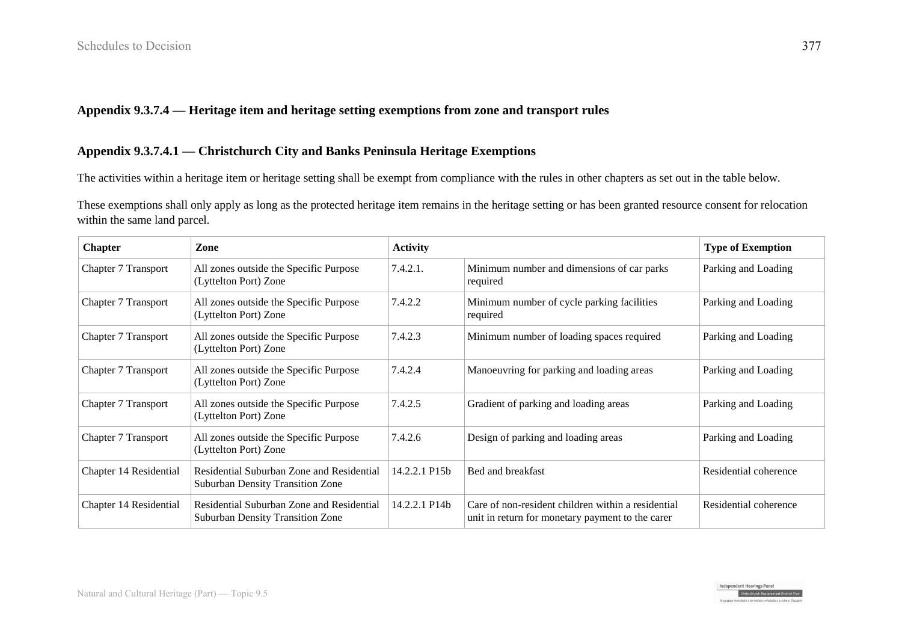#### **Appendix 9.3.7.4 — Heritage item and heritage setting exemptions from zone and transport rules**

#### **Appendix 9.3.7.4.1 — Christchurch City and Banks Peninsula Heritage Exemptions**

The activities within a heritage item or heritage setting shall be exempt from compliance with the rules in other chapters as set out in the table below.

These exemptions shall only apply as long as the protected heritage item remains in the heritage setting or has been granted resource consent for relocation within the same land parcel.

| <b>Chapter</b>             | Zone                                                                                 | <b>Activity</b> |                                                                                                        | <b>Type of Exemption</b> |
|----------------------------|--------------------------------------------------------------------------------------|-----------------|--------------------------------------------------------------------------------------------------------|--------------------------|
| Chapter 7 Transport        | All zones outside the Specific Purpose<br>(Lyttelton Port) Zone                      | 7.4.2.1.        | Minimum number and dimensions of car parks<br>required                                                 | Parking and Loading      |
| <b>Chapter 7 Transport</b> | All zones outside the Specific Purpose<br>(Lyttelton Port) Zone                      | 7.4.2.2         | Minimum number of cycle parking facilities<br>required                                                 | Parking and Loading      |
| <b>Chapter 7 Transport</b> | All zones outside the Specific Purpose<br>(Lyttelton Port) Zone                      | 7.4.2.3         | Minimum number of loading spaces required                                                              | Parking and Loading      |
| <b>Chapter 7 Transport</b> | All zones outside the Specific Purpose<br>(Lyttelton Port) Zone                      | 7.4.2.4         | Manoeuvring for parking and loading areas                                                              | Parking and Loading      |
| <b>Chapter 7 Transport</b> | All zones outside the Specific Purpose<br>(Lyttelton Port) Zone                      | 7.4.2.5         | Gradient of parking and loading areas                                                                  | Parking and Loading      |
| Chapter 7 Transport        | All zones outside the Specific Purpose<br>(Lyttelton Port) Zone                      | 7.4.2.6         | Design of parking and loading areas                                                                    | Parking and Loading      |
| Chapter 14 Residential     | Residential Suburban Zone and Residential<br><b>Suburban Density Transition Zone</b> | 14.2.2.1 P15b   | Bed and breakfast                                                                                      | Residential coherence    |
| Chapter 14 Residential     | Residential Suburban Zone and Residential<br><b>Suburban Density Transition Zone</b> | 14.2.2.1 P14b   | Care of non-resident children within a residential<br>unit in return for monetary payment to the carer | Residential coherence    |

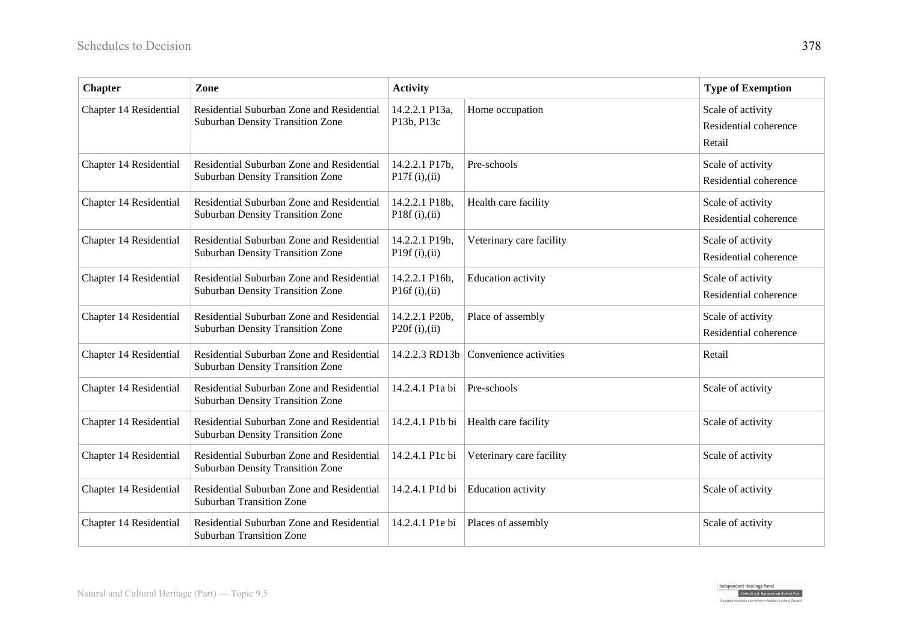| <b>Chapter</b>         | Zone                                                                                 | <b>Activity</b>                       |                          | <b>Type of Exemption</b>                             |
|------------------------|--------------------------------------------------------------------------------------|---------------------------------------|--------------------------|------------------------------------------------------|
| Chapter 14 Residential | Residential Suburban Zone and Residential<br><b>Suburban Density Transition Zone</b> | 14.2.2.1 P13a,<br>P13b, P13c          | Home occupation          | Scale of activity<br>Residential coherence<br>Retail |
| Chapter 14 Residential | Residential Suburban Zone and Residential<br><b>Suburban Density Transition Zone</b> | 14.2.2.1 P17b,<br>P17f $(i), (ii)$    | Pre-schools              | Scale of activity<br>Residential coherence           |
| Chapter 14 Residential | Residential Suburban Zone and Residential<br><b>Suburban Density Transition Zone</b> | 14.2.2.1 P18b,<br>P18 $f(i), (ii)$    | Health care facility     | Scale of activity<br>Residential coherence           |
| Chapter 14 Residential | Residential Suburban Zone and Residential<br><b>Suburban Density Transition Zone</b> | 14.2.2.1 P19b,<br>P19f $(i)$ , $(ii)$ | Veterinary care facility | Scale of activity<br>Residential coherence           |
| Chapter 14 Residential | Residential Suburban Zone and Residential<br><b>Suburban Density Transition Zone</b> | 14.2.2.1 P16b,<br>P16f $(i)$ , $(ii)$ | Education activity       | Scale of activity<br>Residential coherence           |
| Chapter 14 Residential | Residential Suburban Zone and Residential<br><b>Suburban Density Transition Zone</b> | 14.2.2.1 P20b,<br>P20f $(i)$ , $(ii)$ | Place of assembly        | Scale of activity<br>Residential coherence           |
| Chapter 14 Residential | Residential Suburban Zone and Residential<br><b>Suburban Density Transition Zone</b> | 14.2.2.3 RD13b                        | Convenience activities   | Retail                                               |
| Chapter 14 Residential | Residential Suburban Zone and Residential<br>Suburban Density Transition Zone        | 14.2.4.1 P1a bi                       | Pre-schools              | Scale of activity                                    |
| Chapter 14 Residential | Residential Suburban Zone and Residential<br><b>Suburban Density Transition Zone</b> | 14.2.4.1 P1b bi                       | Health care facility     | Scale of activity                                    |
| Chapter 14 Residential | Residential Suburban Zone and Residential<br><b>Suburban Density Transition Zone</b> | 14.2.4.1 P1c bi                       | Veterinary care facility | Scale of activity                                    |
| Chapter 14 Residential | Residential Suburban Zone and Residential<br><b>Suburban Transition Zone</b>         | 14.2.4.1 P1d bi                       | Education activity       | Scale of activity                                    |
| Chapter 14 Residential | Residential Suburban Zone and Residential<br><b>Suburban Transition Zone</b>         | 14.2.4.1 P1e bi                       | Places of assembly       | Scale of activity                                    |

Independent Hearings Panel<br>Christchurch Replacement District Plan hake o te mahere whakahou a rohe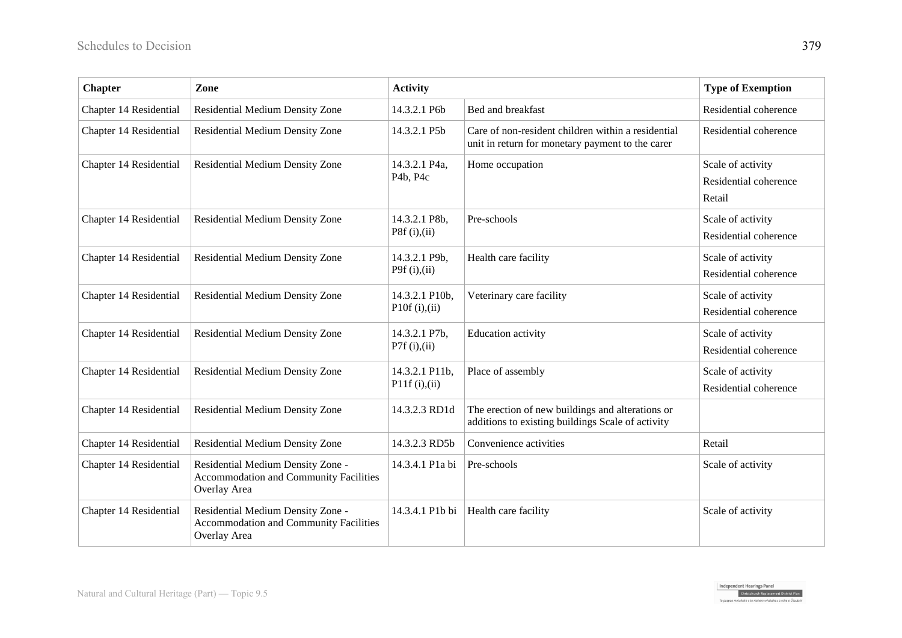| <b>Chapter</b>         | Zone                                                                                               | <b>Activity</b>                                     |                                                                                                        | <b>Type of Exemption</b>                             |
|------------------------|----------------------------------------------------------------------------------------------------|-----------------------------------------------------|--------------------------------------------------------------------------------------------------------|------------------------------------------------------|
| Chapter 14 Residential | Residential Medium Density Zone                                                                    | 14.3.2.1 P6b                                        | Bed and breakfast                                                                                      | Residential coherence                                |
| Chapter 14 Residential | Residential Medium Density Zone                                                                    | 14.3.2.1 P5b                                        | Care of non-resident children within a residential<br>unit in return for monetary payment to the carer | Residential coherence                                |
| Chapter 14 Residential | Residential Medium Density Zone                                                                    | 14.3.2.1 P4a,<br>P <sub>4</sub> b, P <sub>4</sub> c | Home occupation                                                                                        | Scale of activity<br>Residential coherence<br>Retail |
| Chapter 14 Residential | Residential Medium Density Zone                                                                    | 14.3.2.1 P8b,<br>P8f $(i), (ii)$                    | Pre-schools                                                                                            | Scale of activity<br>Residential coherence           |
| Chapter 14 Residential | Residential Medium Density Zone                                                                    | 14.3.2.1 P9b,<br>P9f $(i), (ii)$                    | Health care facility                                                                                   | Scale of activity<br>Residential coherence           |
| Chapter 14 Residential | Residential Medium Density Zone                                                                    | 14.3.2.1 P10b,<br>P10f $(i)$ , $(ii)$               | Veterinary care facility                                                                               | Scale of activity<br>Residential coherence           |
| Chapter 14 Residential | Residential Medium Density Zone                                                                    | 14.3.2.1 P7b,<br>P7f $(i), (ii)$                    | <b>Education</b> activity                                                                              | Scale of activity<br>Residential coherence           |
| Chapter 14 Residential | Residential Medium Density Zone                                                                    | 14.3.2.1 P11b,<br>P11f(i),(ii)                      | Place of assembly                                                                                      | Scale of activity<br>Residential coherence           |
| Chapter 14 Residential | Residential Medium Density Zone                                                                    | 14.3.2.3 RD1d                                       | The erection of new buildings and alterations or<br>additions to existing buildings Scale of activity  |                                                      |
| Chapter 14 Residential | Residential Medium Density Zone                                                                    | 14.3.2.3 RD5b                                       | Convenience activities                                                                                 | Retail                                               |
| Chapter 14 Residential | Residential Medium Density Zone -<br><b>Accommodation and Community Facilities</b><br>Overlay Area | 14.3.4.1 P1a bi                                     | Pre-schools                                                                                            | Scale of activity                                    |
| Chapter 14 Residential | Residential Medium Density Zone -<br><b>Accommodation and Community Facilities</b><br>Overlay Area | 14.3.4.1 P1b bi                                     | Health care facility                                                                                   | Scale of activity                                    |

Independent Hearings Panel<br>Christchurch Replacement District Plan hake o te mahere whakahou a rohe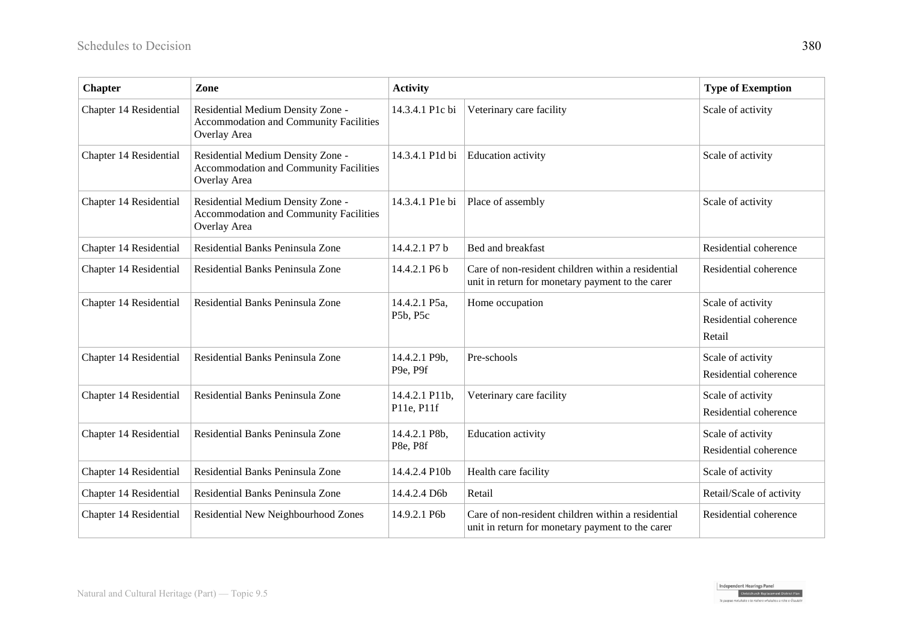| <b>Chapter</b>         | Zone                                                                                               | <b>Activity</b>              |                                                                                                        | <b>Type of Exemption</b>                             |
|------------------------|----------------------------------------------------------------------------------------------------|------------------------------|--------------------------------------------------------------------------------------------------------|------------------------------------------------------|
| Chapter 14 Residential | Residential Medium Density Zone -<br><b>Accommodation and Community Facilities</b><br>Overlay Area | 14.3.4.1 P1c bi              | Veterinary care facility                                                                               | Scale of activity                                    |
| Chapter 14 Residential | Residential Medium Density Zone -<br><b>Accommodation and Community Facilities</b><br>Overlay Area | 14.3.4.1 P1d bi              | <b>Education</b> activity                                                                              | Scale of activity                                    |
| Chapter 14 Residential | Residential Medium Density Zone -<br><b>Accommodation and Community Facilities</b><br>Overlay Area | 14.3.4.1 P1e bi              | Place of assembly                                                                                      | Scale of activity                                    |
| Chapter 14 Residential | Residential Banks Peninsula Zone                                                                   | 14.4.2.1 P7 b                | Bed and breakfast                                                                                      | Residential coherence                                |
| Chapter 14 Residential | Residential Banks Peninsula Zone                                                                   | 14.4.2.1 P6 b                | Care of non-resident children within a residential<br>unit in return for monetary payment to the carer | Residential coherence                                |
| Chapter 14 Residential | Residential Banks Peninsula Zone                                                                   | 14.4.2.1 P5a,<br>P5b, P5c    | Home occupation                                                                                        | Scale of activity<br>Residential coherence<br>Retail |
| Chapter 14 Residential | Residential Banks Peninsula Zone                                                                   | 14.4.2.1 P9b,<br>P9e, P9f    | Pre-schools                                                                                            | Scale of activity<br>Residential coherence           |
| Chapter 14 Residential | Residential Banks Peninsula Zone                                                                   | 14.4.2.1 P11b,<br>P11e, P11f | Veterinary care facility                                                                               | Scale of activity<br>Residential coherence           |
| Chapter 14 Residential | Residential Banks Peninsula Zone                                                                   | 14.4.2.1 P8b,<br>P8e, P8f    | Education activity                                                                                     | Scale of activity<br>Residential coherence           |
| Chapter 14 Residential | Residential Banks Peninsula Zone                                                                   | 14.4.2.4 P10b                | Health care facility                                                                                   | Scale of activity                                    |
| Chapter 14 Residential | Residential Banks Peninsula Zone                                                                   | 14.4.2.4 D6b                 | Retail                                                                                                 | Retail/Scale of activity                             |
| Chapter 14 Residential | Residential New Neighbourhood Zones                                                                | 14.9.2.1 P6b                 | Care of non-resident children within a residential<br>unit in return for monetary payment to the carer | Residential coherence                                |

Independent Hearings Panel<br>Christchurch Replacement District Plan hake o te mahere whakahou a rohe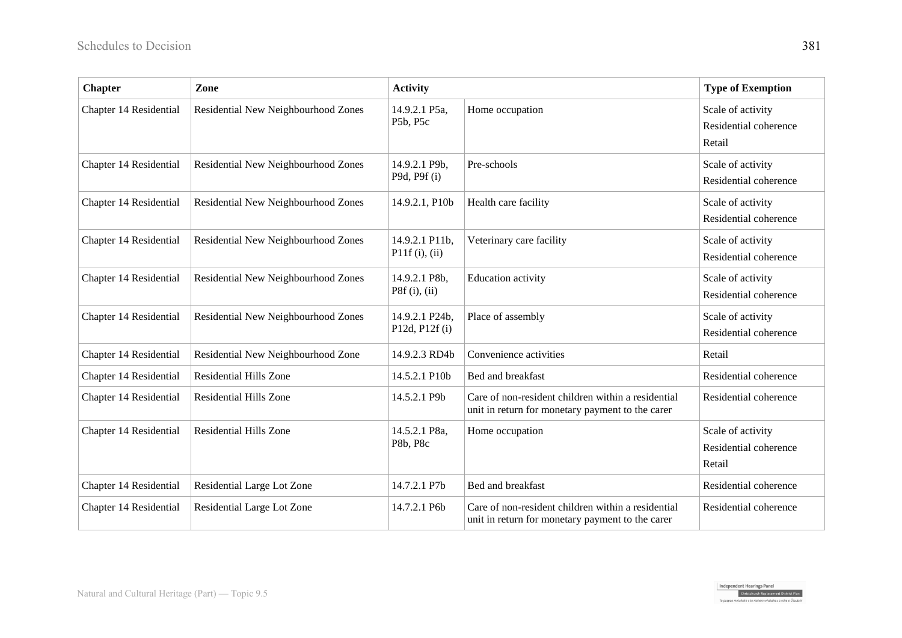| <b>Chapter</b>         | Zone                                | <b>Activity</b>                  |                                                                                                        | <b>Type of Exemption</b>                             |
|------------------------|-------------------------------------|----------------------------------|--------------------------------------------------------------------------------------------------------|------------------------------------------------------|
| Chapter 14 Residential | Residential New Neighbourhood Zones | 14.9.2.1 P5a,<br>P5b, P5c        | Home occupation                                                                                        | Scale of activity<br>Residential coherence<br>Retail |
| Chapter 14 Residential | Residential New Neighbourhood Zones | 14.9.2.1 P9b,<br>P9d, P9f(i)     | Pre-schools                                                                                            | Scale of activity<br>Residential coherence           |
| Chapter 14 Residential | Residential New Neighbourhood Zones | 14.9.2.1, P10b                   | Health care facility                                                                                   | Scale of activity<br>Residential coherence           |
| Chapter 14 Residential | Residential New Neighbourhood Zones | 14.9.2.1 P11b,<br>P11f(i), (ii)  | Veterinary care facility                                                                               | Scale of activity<br>Residential coherence           |
| Chapter 14 Residential | Residential New Neighbourhood Zones | 14.9.2.1 P8b,<br>P8f(i), (ii)    | <b>Education</b> activity                                                                              | Scale of activity<br>Residential coherence           |
| Chapter 14 Residential | Residential New Neighbourhood Zones | 14.9.2.1 P24b,<br>P12d, P12f (i) | Place of assembly                                                                                      | Scale of activity<br>Residential coherence           |
| Chapter 14 Residential | Residential New Neighbourhood Zone  | 14.9.2.3 RD4b                    | Convenience activities                                                                                 | Retail                                               |
| Chapter 14 Residential | <b>Residential Hills Zone</b>       | 14.5.2.1 P10b                    | Bed and breakfast                                                                                      | Residential coherence                                |
| Chapter 14 Residential | <b>Residential Hills Zone</b>       | 14.5.2.1 P9b                     | Care of non-resident children within a residential<br>unit in return for monetary payment to the carer | Residential coherence                                |
| Chapter 14 Residential | <b>Residential Hills Zone</b>       | 14.5.2.1 P8a,<br>P8b, P8c        | Home occupation                                                                                        | Scale of activity<br>Residential coherence<br>Retail |
| Chapter 14 Residential | Residential Large Lot Zone          | 14.7.2.1 P7b                     | Bed and breakfast                                                                                      | Residential coherence                                |
| Chapter 14 Residential | Residential Large Lot Zone          | 14.7.2.1 P6b                     | Care of non-resident children within a residential<br>unit in return for monetary payment to the carer | Residential coherence                                |

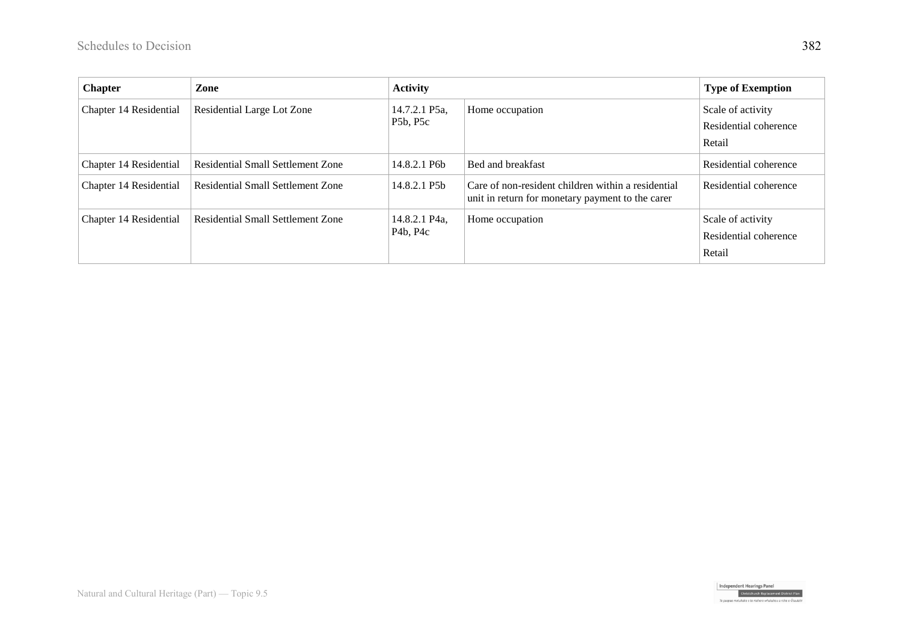| <b>Chapter</b>         | Zone                              | <b>Activity</b>           |                                                                                                        | <b>Type of Exemption</b>                             |
|------------------------|-----------------------------------|---------------------------|--------------------------------------------------------------------------------------------------------|------------------------------------------------------|
| Chapter 14 Residential | Residential Large Lot Zone        | 14.7.2.1 P5a,<br>P5b, P5c | Home occupation                                                                                        | Scale of activity<br>Residential coherence<br>Retail |
| Chapter 14 Residential | Residential Small Settlement Zone | 14.8.2.1 P6b              | Bed and breakfast                                                                                      | Residential coherence                                |
| Chapter 14 Residential | Residential Small Settlement Zone | 14.8.2.1 P5b              | Care of non-resident children within a residential<br>unit in return for monetary payment to the carer | Residential coherence                                |
| Chapter 14 Residential | Residential Small Settlement Zone | 14.8.2.1 P4a.<br>P4b, P4c | Home occupation                                                                                        | Scale of activity<br>Residential coherence<br>Retail |



hake o te mahere whakahou a rohe i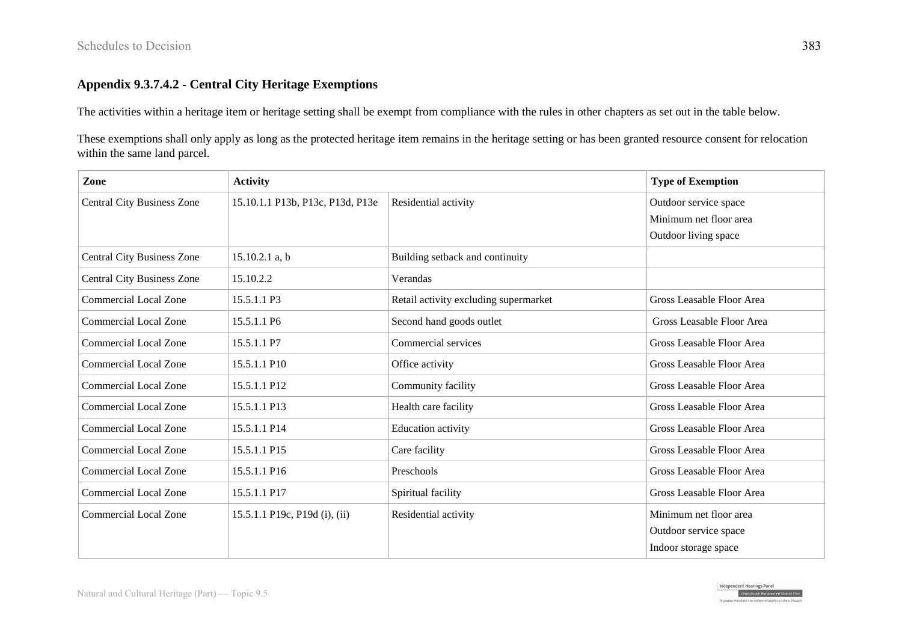#### **Appendix 9.3.7.4.2 - Central City Heritage Exemptions**

The activities within a heritage item or heritage setting shall be exempt from compliance with the rules in other chapters as set out in the table below.

These exemptions shall only apply as long as the protected heritage item remains in the heritage setting or has been granted resource consent for relocation within the same land parcel.

| Zone                              | <b>Activity</b>                  |                                       | <b>Type of Exemption</b>  |
|-----------------------------------|----------------------------------|---------------------------------------|---------------------------|
| <b>Central City Business Zone</b> | 15.10.1.1 P13b, P13c, P13d, P13e | Residential activity                  | Outdoor service space     |
|                                   |                                  |                                       | Minimum net floor area    |
|                                   |                                  |                                       | Outdoor living space      |
| <b>Central City Business Zone</b> | $15.10.2.1$ a, b                 | Building setback and continuity       |                           |
| <b>Central City Business Zone</b> | 15.10.2.2                        | Verandas                              |                           |
| <b>Commercial Local Zone</b>      | 15.5.1.1 P3                      | Retail activity excluding supermarket | Gross Leasable Floor Area |
| <b>Commercial Local Zone</b>      | 15.5.1.1 P6                      | Second hand goods outlet              | Gross Leasable Floor Area |
| <b>Commercial Local Zone</b>      | 15.5.1.1 P7                      | Commercial services                   | Gross Leasable Floor Area |
| <b>Commercial Local Zone</b>      | 15.5.1.1 P10                     | Office activity                       | Gross Leasable Floor Area |
| <b>Commercial Local Zone</b>      | 15.5.1.1 P12                     | Community facility                    | Gross Leasable Floor Area |
| <b>Commercial Local Zone</b>      | 15.5.1.1 P13                     | Health care facility                  | Gross Leasable Floor Area |
| <b>Commercial Local Zone</b>      | 15.5.1.1 P14                     | <b>Education</b> activity             | Gross Leasable Floor Area |
| <b>Commercial Local Zone</b>      | 15.5.1.1 P15                     | Care facility                         | Gross Leasable Floor Area |
| <b>Commercial Local Zone</b>      | 15.5.1.1 P16                     | Preschools                            | Gross Leasable Floor Area |
| <b>Commercial Local Zone</b>      | 15.5.1.1 P17                     | Spiritual facility                    | Gross Leasable Floor Area |
| <b>Commercial Local Zone</b>      | 15.5.1.1 P19c, P19d (i), (ii)    | Residential activity                  | Minimum net floor area    |
|                                   |                                  |                                       | Outdoor service space     |
|                                   |                                  |                                       | Indoor storage space      |

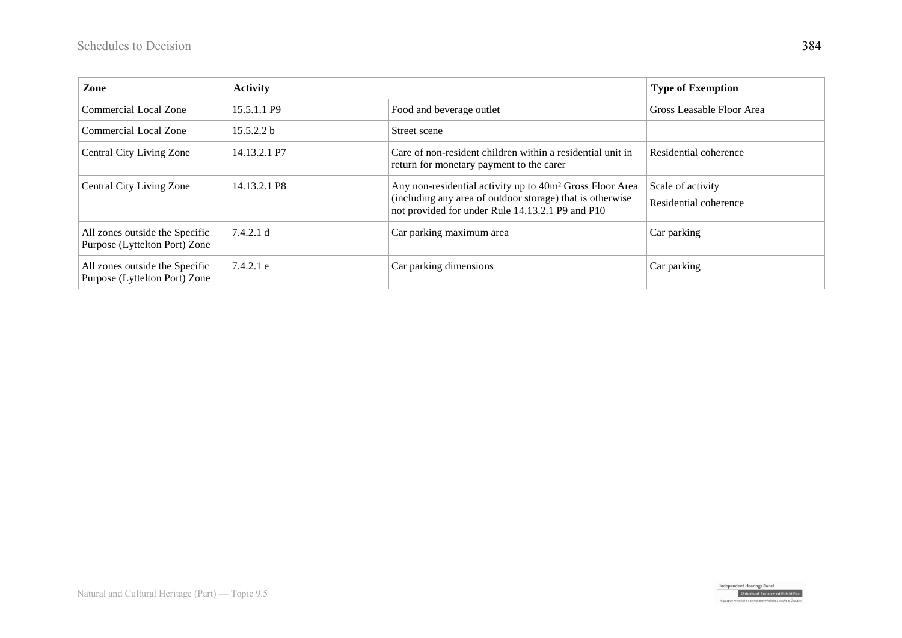| Zone                                                            | <b>Activity</b>   |                                                                                                                                                                                       | <b>Type of Exemption</b>                   |
|-----------------------------------------------------------------|-------------------|---------------------------------------------------------------------------------------------------------------------------------------------------------------------------------------|--------------------------------------------|
| Commercial Local Zone                                           | 15.5.1.1 P9       | Food and beverage outlet                                                                                                                                                              | Gross Leasable Floor Area                  |
| Commercial Local Zone                                           | 15.5.2.2 b        | Street scene                                                                                                                                                                          |                                            |
| <b>Central City Living Zone</b>                                 | 14.13.2.1 P7      | Care of non-resident children within a residential unit in<br>return for monetary payment to the carer                                                                                | Residential coherence                      |
| <b>Central City Living Zone</b>                                 | 14.13.2.1 P8      | Any non-residential activity up to 40m <sup>2</sup> Gross Floor Area<br>(including any area of outdoor storage) that is otherwise<br>not provided for under Rule 14.13.2.1 P9 and P10 | Scale of activity<br>Residential coherence |
| All zones outside the Specific<br>Purpose (Lyttelton Port) Zone | $\vert 7.4.2.1 d$ | Car parking maximum area                                                                                                                                                              | Car parking                                |
| All zones outside the Specific<br>Purpose (Lyttelton Port) Zone | 7.4.2.1 e         | Car parking dimensions                                                                                                                                                                | Car parking                                |



uhake o te mahere whakahou a rohe o Ōt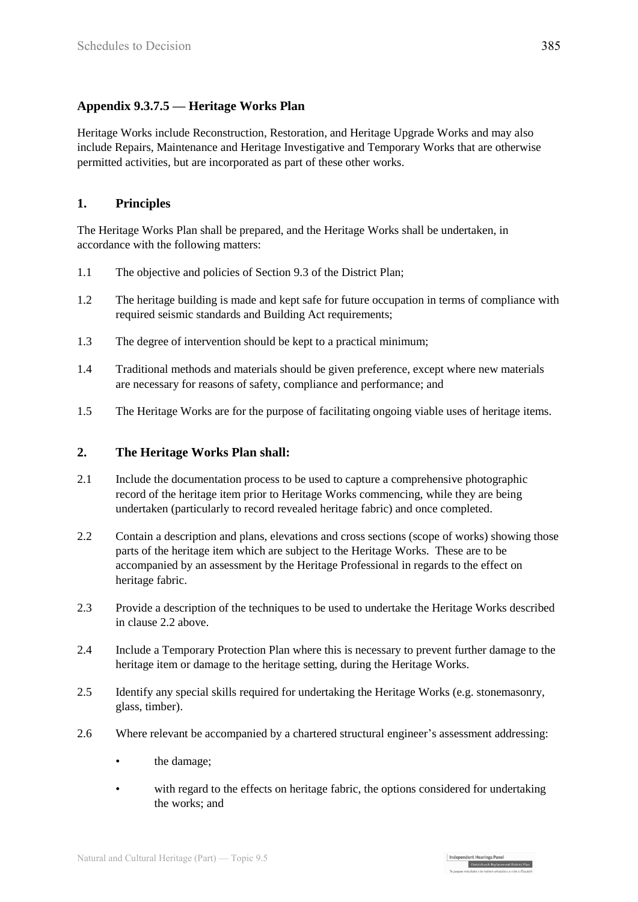#### **Appendix 9.3.7.5 — Heritage Works Plan**

Heritage Works include Reconstruction, Restoration, and Heritage Upgrade Works and may also include Repairs, Maintenance and Heritage Investigative and Temporary Works that are otherwise permitted activities, but are incorporated as part of these other works.

#### **1. Principles**

The Heritage Works Plan shall be prepared, and the Heritage Works shall be undertaken, in accordance with the following matters:

- 1.1 The objective and policies of Section 9.3 of the District Plan;
- 1.2 The heritage building is made and kept safe for future occupation in terms of compliance with required seismic standards and Building Act requirements;
- 1.3 The degree of intervention should be kept to a practical minimum;
- 1.4 Traditional methods and materials should be given preference, except where new materials are necessary for reasons of safety, compliance and performance; and
- 1.5 The Heritage Works are for the purpose of facilitating ongoing viable uses of heritage items.

#### **2. The Heritage Works Plan shall:**

- 2.1 Include the documentation process to be used to capture a comprehensive photographic record of the heritage item prior to Heritage Works commencing, while they are being undertaken (particularly to record revealed heritage fabric) and once completed.
- 2.2 Contain a description and plans, elevations and cross sections (scope of works) showing those parts of the heritage item which are subject to the Heritage Works. These are to be accompanied by an assessment by the Heritage Professional in regards to the effect on heritage fabric.
- 2.3 Provide a description of the techniques to be used to undertake the Heritage Works described in clause 2.2 above.
- 2.4 Include a Temporary Protection Plan where this is necessary to prevent further damage to the heritage item or damage to the heritage setting, during the Heritage Works.
- 2.5 Identify any special skills required for undertaking the Heritage Works (e.g. stonemasonry, glass, timber).
- 2.6 Where relevant be accompanied by a chartered structural engineer's assessment addressing:
	- the damage;
	- with regard to the effects on heritage fabric, the options considered for undertaking the works; and

Independent Hearings Panel<br>Christchurch Replacement District Plan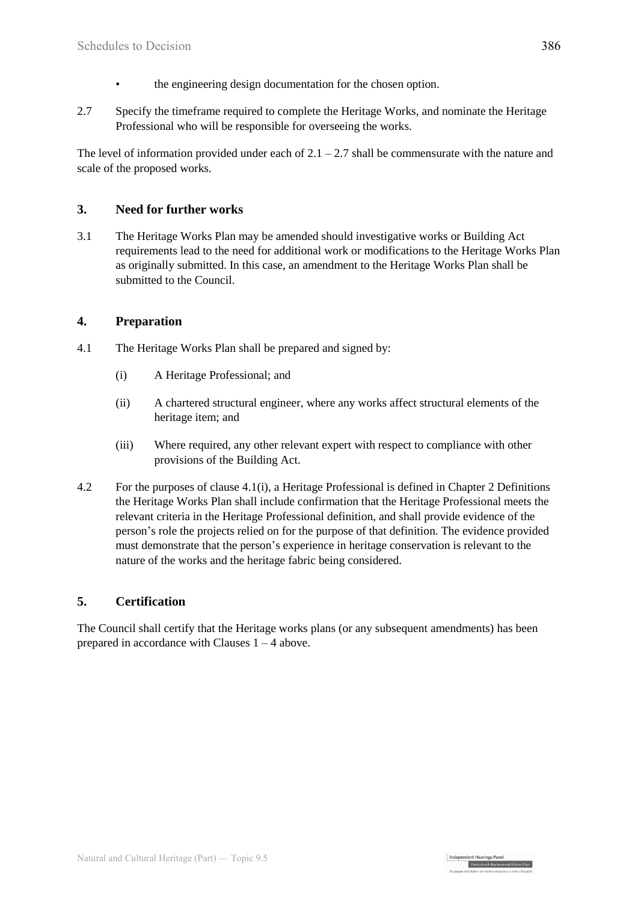- the engineering design documentation for the chosen option.
- 2.7 Specify the timeframe required to complete the Heritage Works, and nominate the Heritage Professional who will be responsible for overseeing the works.

The level of information provided under each of  $2.1 - 2.7$  shall be commensurate with the nature and scale of the proposed works.

#### **3. Need for further works**

3.1 The Heritage Works Plan may be amended should investigative works or Building Act requirements lead to the need for additional work or modifications to the Heritage Works Plan as originally submitted. In this case, an amendment to the Heritage Works Plan shall be submitted to the Council.

#### **4. Preparation**

- 4.1 The Heritage Works Plan shall be prepared and signed by:
	- (i) A Heritage Professional; and
	- (ii) A chartered structural engineer, where any works affect structural elements of the heritage item; and
	- (iii) Where required, any other relevant expert with respect to compliance with other provisions of the Building Act.
- 4.2 For the purposes of clause 4.1(i), a Heritage Professional is defined in Chapter 2 Definitions the Heritage Works Plan shall include confirmation that the Heritage Professional meets the relevant criteria in the Heritage Professional definition, and shall provide evidence of the person's role the projects relied on for the purpose of that definition. The evidence provided must demonstrate that the person's experience in heritage conservation is relevant to the nature of the works and the heritage fabric being considered.

#### **5. Certification**

The Council shall certify that the Heritage works plans (or any subsequent amendments) has been prepared in accordance with Clauses  $1 - 4$  above.

Independent Hearings Pane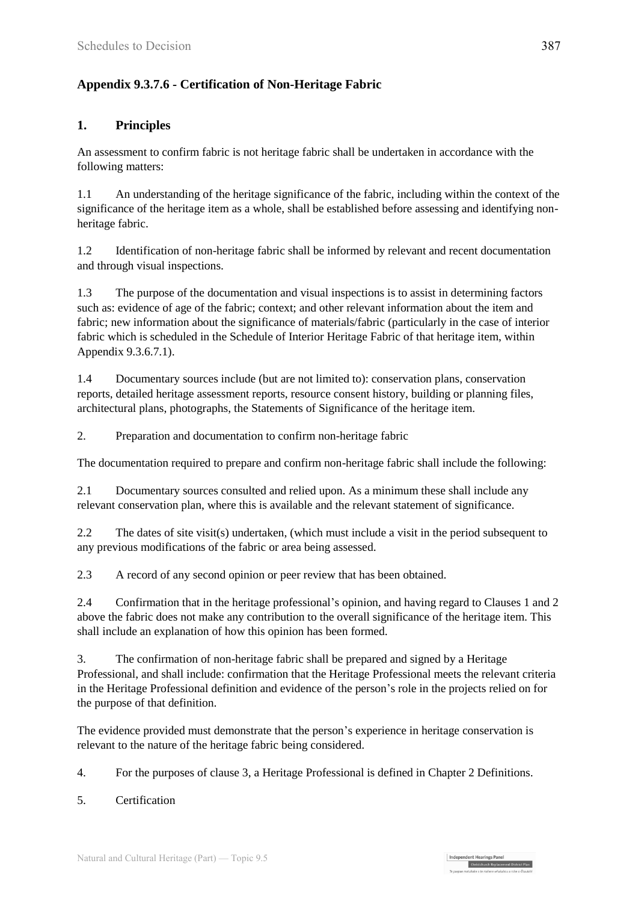#### **Appendix 9.3.7.6 - Certification of Non-Heritage Fabric**

#### **1. Principles**

An assessment to confirm fabric is not heritage fabric shall be undertaken in accordance with the following matters:

1.1 An understanding of the heritage significance of the fabric, including within the context of the significance of the heritage item as a whole, shall be established before assessing and identifying nonheritage fabric.

1.2 Identification of non-heritage fabric shall be informed by relevant and recent documentation and through visual inspections.

1.3 The purpose of the documentation and visual inspections is to assist in determining factors such as: evidence of age of the fabric; context; and other relevant information about the item and fabric; new information about the significance of materials/fabric (particularly in the case of interior fabric which is scheduled in the Schedule of Interior Heritage Fabric of that heritage item, within Appendix 9.3.6.7.1).

1.4 Documentary sources include (but are not limited to): conservation plans, conservation reports, detailed heritage assessment reports, resource consent history, building or planning files, architectural plans, photographs, the Statements of Significance of the heritage item.

2. Preparation and documentation to confirm non-heritage fabric

The documentation required to prepare and confirm non-heritage fabric shall include the following:

2.1 Documentary sources consulted and relied upon. As a minimum these shall include any relevant conservation plan, where this is available and the relevant statement of significance.

2.2 The dates of site visit(s) undertaken, (which must include a visit in the period subsequent to any previous modifications of the fabric or area being assessed.

2.3 A record of any second opinion or peer review that has been obtained.

2.4 Confirmation that in the heritage professional's opinion, and having regard to Clauses 1 and 2 above the fabric does not make any contribution to the overall significance of the heritage item. This shall include an explanation of how this opinion has been formed.

3. The confirmation of non-heritage fabric shall be prepared and signed by a Heritage Professional, and shall include: confirmation that the Heritage Professional meets the relevant criteria in the Heritage Professional definition and evidence of the person's role in the projects relied on for the purpose of that definition.

The evidence provided must demonstrate that the person's experience in heritage conservation is relevant to the nature of the heritage fabric being considered.

4. For the purposes of clause 3, a Heritage Professional is defined in Chapter 2 Definitions.

5. Certification